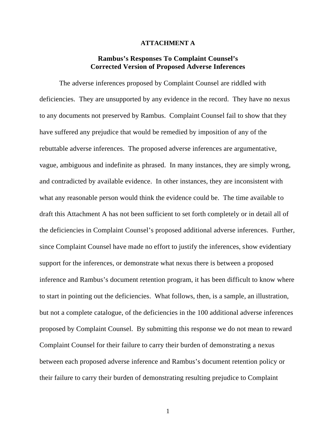## **ATTACHMENT A**

## **Rambus's Responses To Complaint Counsel's Corrected Version of Proposed Adverse Inferences**

The adverse inferences proposed by Complaint Counsel are riddled with deficiencies. They are unsupported by any evidence in the record. They have no nexus to any documents not preserved by Rambus. Complaint Counsel fail to show that they have suffered any prejudice that would be remedied by imposition of any of the rebuttable adverse inferences. The proposed adverse inferences are argumentative, vague, ambiguous and indefinite as phrased. In many instances, they are simply wrong, and contradicted by available evidence. In other instances, they are inconsistent with what any reasonable person would think the evidence could be. The time available to draft this Attachment A has not been sufficient to set forth completely or in detail all of the deficiencies in Complaint Counsel's proposed additional adverse inferences. Further, since Complaint Counsel have made no effort to justify the inferences, show evidentiary support for the inferences, or demonstrate what nexus there is between a proposed inference and Rambus's document retention program, it has been difficult to know where to start in pointing out the deficiencies. What follows, then, is a sample, an illustration, but not a complete catalogue, of the deficiencies in the 100 additional adverse inferences proposed by Complaint Counsel. By submitting this response we do not mean to reward Complaint Counsel for their failure to carry their burden of demonstrating a nexus between each proposed adverse inference and Rambus's document retention policy or their failure to carry their burden of demonstrating resulting prejudice to Complaint

1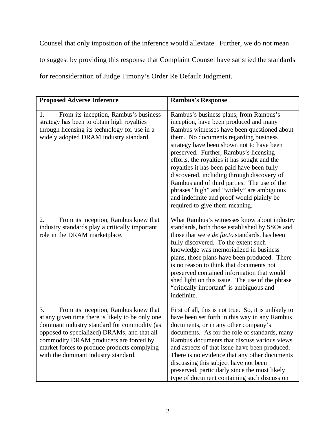Counsel that only imposition of the inference would alleviate. Further, we do not mean to suggest by providing this response that Complaint Counsel have satisfied the standards for reconsideration of Judge Timony's Order Re Default Judgment.

| <b>Proposed Adverse Inference</b>                                                                                                                                                                                                                                                                                              | <b>Rambus's Response</b>                                                                                                                                                                                                                                                                                                                                                                                                                                                                                                                                                               |
|--------------------------------------------------------------------------------------------------------------------------------------------------------------------------------------------------------------------------------------------------------------------------------------------------------------------------------|----------------------------------------------------------------------------------------------------------------------------------------------------------------------------------------------------------------------------------------------------------------------------------------------------------------------------------------------------------------------------------------------------------------------------------------------------------------------------------------------------------------------------------------------------------------------------------------|
| From its inception, Rambus's business<br>1.<br>strategy has been to obtain high royalties<br>through licensing its technology for use in a<br>widely adopted DRAM industry standard.                                                                                                                                           | Rambus's business plans, from Rambus's<br>inception, have been produced and many<br>Rambus witnesses have been questioned about<br>them. No documents regarding business<br>strategy have been shown not to have been<br>preserved. Further, Rambus's licensing<br>efforts, the royalties it has sought and the<br>royalties it has been paid have been fully<br>discovered, including through discovery of<br>Rambus and of third parties. The use of the<br>phrases "high" and "widely" are ambiguous<br>and indefinite and proof would plainly be<br>required to give them meaning. |
| From its inception, Rambus knew that<br>2.<br>industry standards play a critically important<br>role in the DRAM marketplace.                                                                                                                                                                                                  | What Rambus's witnesses know about industry<br>standards, both those established by SSOs and<br>those that were <i>de facto</i> standards, has been<br>fully discovered. To the extent such<br>knowledge was memorialized in business<br>plans, those plans have been produced. There<br>is no reason to think that documents not<br>preserved contained information that would<br>shed light on this issue. The use of the phrase<br>"critically important" is ambiguous and<br>indefinite.                                                                                           |
| From its inception, Rambus knew that<br>3.<br>at any given time there is likely to be only one<br>dominant industry standard for commodity (as<br>opposed to specialized) DRAMs, and that all<br>commodity DRAM producers are forced by<br>market forces to produce products complying<br>with the dominant industry standard. | First of all, this is not true. So, it is unlikely to<br>have been set forth in this way in any Rambus<br>documents, or in any other company's<br>documents. As for the role of standards, many<br>Rambus documents that discuss various views<br>and aspects of that issue have been produced.<br>There is no evidence that any other documents<br>discussing this subject have not been<br>preserved, particularly since the most likely<br>type of document containing such discussion                                                                                              |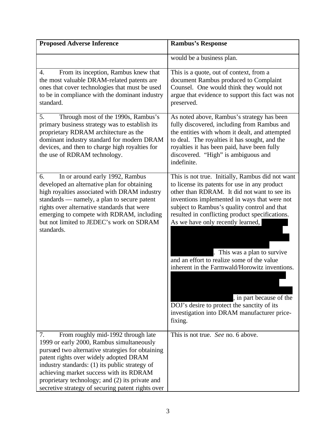| <b>Proposed Adverse Inference</b>                                                                                                                                                                                                                                                                                                                                                        | <b>Rambus's Response</b>                                                                                                                                                                                                                                                                                                                                                                                                                                                                                                                                                                                      |
|------------------------------------------------------------------------------------------------------------------------------------------------------------------------------------------------------------------------------------------------------------------------------------------------------------------------------------------------------------------------------------------|---------------------------------------------------------------------------------------------------------------------------------------------------------------------------------------------------------------------------------------------------------------------------------------------------------------------------------------------------------------------------------------------------------------------------------------------------------------------------------------------------------------------------------------------------------------------------------------------------------------|
|                                                                                                                                                                                                                                                                                                                                                                                          | would be a business plan.                                                                                                                                                                                                                                                                                                                                                                                                                                                                                                                                                                                     |
| From its inception, Rambus knew that<br>4.<br>the most valuable DRAM-related patents are<br>ones that cover technologies that must be used<br>to be in compliance with the dominant industry<br>standard.                                                                                                                                                                                | This is a quote, out of context, from a<br>document Rambus produced to Complaint<br>Counsel. One would think they would not<br>argue that evidence to support this fact was not<br>preserved.                                                                                                                                                                                                                                                                                                                                                                                                                 |
| Through most of the 1990s, Rambus's<br>5.<br>primary business strategy was to establish its<br>proprietary RDRAM architecture as the<br>dominant industry standard for modern DRAM<br>devices, and then to charge high royalties for<br>the use of RDRAM technology.                                                                                                                     | As noted above, Rambus's strategy has been<br>fully discovered, including from Rambus and<br>the entities with whom it dealt, and attempted<br>to deal. The royalties it has sought, and the<br>royalties it has been paid, have been fully<br>discovered. "High" is ambiguous and<br>indefinite.                                                                                                                                                                                                                                                                                                             |
| In or around early 1992, Rambus<br>6.<br>developed an alternative plan for obtaining<br>high royalties associated with DRAM industry<br>standards — namely, a plan to secure patent<br>rights over alternative standards that were<br>emerging to compete with RDRAM, including<br>but not limited to JEDEC's work on SDRAM<br>standards.                                                | This is not true. Initially, Rambus did not want<br>to license its patents for use in any product<br>other than RDRAM. It did not want to see its<br>inventions implemented in ways that were not<br>subject to Rambus's quality control and that<br>resulted in conflicting product specifications.<br>As we have only recently learned,<br>. This was a plan to survive<br>and an effort to realize some of the value<br>inherent in the Farmwald/Horowitz inventions.<br>, in part because of the<br>DOJ's desire to protect the sanctity of its<br>investigation into DRAM manufacturer price-<br>fixing. |
| From roughly mid-1992 through late<br>7.<br>1999 or early 2000, Rambus simultaneously<br>pursued two alternative strategies for obtaining<br>patent rights over widely adopted DRAM<br>industry standards: (1) its public strategy of<br>achieving market success with its RDRAM<br>proprietary technology; and (2) its private and<br>secretive strategy of securing patent rights over | This is not true. See no. 6 above.                                                                                                                                                                                                                                                                                                                                                                                                                                                                                                                                                                            |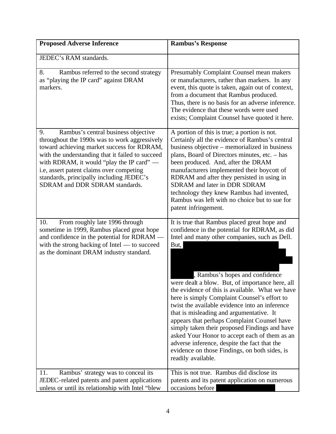| <b>Proposed Adverse Inference</b>                                                                                                                                                                                                                                                                                                                                   | <b>Rambus's Response</b>                                                                                                                                                                                                                                                                                                                                                                                                                                                                                                                                                                                                                                                                                              |
|---------------------------------------------------------------------------------------------------------------------------------------------------------------------------------------------------------------------------------------------------------------------------------------------------------------------------------------------------------------------|-----------------------------------------------------------------------------------------------------------------------------------------------------------------------------------------------------------------------------------------------------------------------------------------------------------------------------------------------------------------------------------------------------------------------------------------------------------------------------------------------------------------------------------------------------------------------------------------------------------------------------------------------------------------------------------------------------------------------|
| JEDEC's RAM standards.                                                                                                                                                                                                                                                                                                                                              |                                                                                                                                                                                                                                                                                                                                                                                                                                                                                                                                                                                                                                                                                                                       |
| 8.<br>Rambus referred to the second strategy<br>as "playing the IP card" against DRAM<br>markers.                                                                                                                                                                                                                                                                   | Presumably Complaint Counsel mean makers<br>or manufacturers, rather than markers. In any<br>event, this quote is taken, again out of context,<br>from a document that Rambus produced.<br>Thus, there is no basis for an adverse inference.<br>The evidence that these words were used<br>exists; Complaint Counsel have quoted it here.                                                                                                                                                                                                                                                                                                                                                                             |
| Rambus's central business objective<br>9.<br>throughout the 1990s was to work aggressively<br>toward achieving market success for RDRAM,<br>with the understanding that it failed to succeed<br>with RDRAM, it would "play the IP card" —<br>i.e, assert patent claims over competing<br>standards, principally including JEDEC's<br>SDRAM and DDR SDRAM standards. | A portion of this is true; a portion is not.<br>Certainly all the evidence of Rambus's central<br>business objective – memorialized in business<br>plans, Board of Directors minutes, etc. - has<br>been produced. And, after the DRAM<br>manufacturers implemented their boycott of<br>RDRAM and after they persisted in using in<br>SDRAM and later in DDR SDRAM<br>technology they knew Rambus had invented,<br>Rambus was left with no choice but to sue for<br>patent infringement.                                                                                                                                                                                                                              |
| From roughly late 1996 through<br>10.<br>sometime in 1999, Rambus placed great hope<br>and confidence in the potential for RDRAM —<br>with the strong backing of Intel - to succeed<br>as the dominant DRAM industry standard.                                                                                                                                      | It is true that Rambus placed great hope and<br>confidence in the potential for RDRAM, as did<br>Intel and many other companies, such as Dell.<br>But,<br>, Rambus's hopes and confidence<br>were dealt a blow. But, of importance here, all<br>the evidence of this is available. What we have<br>here is simply Complaint Counsel's effort to<br>twist the available evidence into an inference<br>that is misleading and argumentative. It<br>appears that perhaps Complaint Counsel have<br>simply taken their proposed Findings and have<br>asked Your Honor to accept each of them as an<br>adverse inference, despite the fact that the<br>evidence on those Findings, on both sides, is<br>readily available. |
| Rambus' strategy was to conceal its<br>11.<br>JEDEC-related patents and patent applications<br>unless or until its relationship with Intel "blew                                                                                                                                                                                                                    | This is not true. Rambus did disclose its<br>patents and its patent application on numerous<br>occasions before                                                                                                                                                                                                                                                                                                                                                                                                                                                                                                                                                                                                       |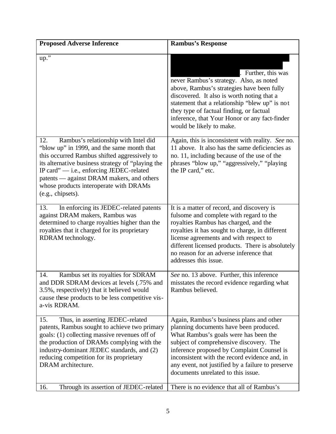| <b>Proposed Adverse Inference</b>                                                                                                                                                                                                                                                                                                                      | <b>Rambus's Response</b>                                                                                                                                                                                                                                                                                                                                         |
|--------------------------------------------------------------------------------------------------------------------------------------------------------------------------------------------------------------------------------------------------------------------------------------------------------------------------------------------------------|------------------------------------------------------------------------------------------------------------------------------------------------------------------------------------------------------------------------------------------------------------------------------------------------------------------------------------------------------------------|
| $up.$ "                                                                                                                                                                                                                                                                                                                                                | . Further, this was<br>never Rambus's strategy. Also, as noted<br>above, Rambus's strategies have been fully<br>discovered. It also is worth noting that a<br>statement that a relationship "blew up" is not<br>they type of factual finding, or factual<br>inference, that Your Honor or any fact-finder<br>would be likely to make.                            |
| 12.<br>Rambus's relationship with Intel did<br>"blow up" in 1999, and the same month that<br>this occurred Rambus shifted aggressively to<br>its alternative business strategy of "playing the<br>IP card" - i.e., enforcing JEDEC-related<br>patents — against DRAM makers, and others<br>whose products interoperate with DRAMs<br>(e.g., chipsets). | Again, this is inconsistent with reality. See no.<br>11 above. It also has the same deficiencies as<br>no. 11, including because of the use of the<br>phrases "blow up," "aggressively," "playing<br>the IP card," etc.                                                                                                                                          |
| In enforcing its JEDEC-related patents<br>13.<br>against DRAM makers, Rambus was<br>determined to charge royalties higher than the<br>royalties that it charged for its proprietary<br>RDRAM technology.                                                                                                                                               | It is a matter of record, and discovery is<br>fulsome and complete with regard to the<br>royalties Rambus has charged, and the<br>royalties it has sought to charge, in different<br>license agreements and with respect to<br>different licensed products. There is absolutely<br>no reason for an adverse inference that<br>addresses this issue.              |
| Rambus set its royalties for SDRAM<br>14.<br>and DDR SDRAM devices at levels (.75% and<br>3.5%, respectively) that it believed would<br>cause these products to be less competitive vis-<br>a-vis RDRAM.                                                                                                                                               | See no. 13 above. Further, this inference<br>misstates the record evidence regarding what<br>Rambus believed.                                                                                                                                                                                                                                                    |
| Thus, in asserting JEDEC-related<br>15.<br>patents, Rambus sought to achieve two primary<br>goals: (1) collecting massive revenues off of<br>the production of DRAMs complying with the<br>industry-dominant JEDEC standards, and (2)<br>reducing competition for its proprietary<br>DRAM architecture.                                                | Again, Rambus's business plans and other<br>planning documents have been produced.<br>What Rambus's goals were has been the<br>subject of comprehensive discovery. The<br>inference proposed by Complaint Counsel is<br>inconsistent with the record evidence and, in<br>any event, not justified by a failure to preserve<br>documents unrelated to this issue. |
| Through its assertion of JEDEC-related<br>16.                                                                                                                                                                                                                                                                                                          | There is no evidence that all of Rambus's                                                                                                                                                                                                                                                                                                                        |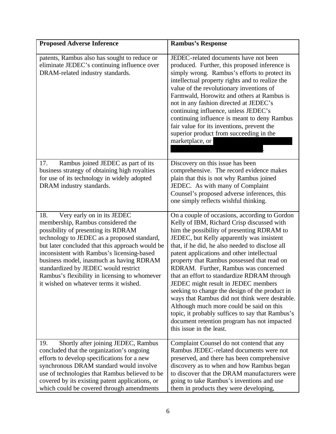| <b>Proposed Adverse Inference</b>                                                                                                                                                                                                                                                                                                                                                                                                            | <b>Rambus's Response</b>                                                                                                                                                                                                                                                                                                                                                                                                                                                                                                                                                                                                                                                                                                                            |
|----------------------------------------------------------------------------------------------------------------------------------------------------------------------------------------------------------------------------------------------------------------------------------------------------------------------------------------------------------------------------------------------------------------------------------------------|-----------------------------------------------------------------------------------------------------------------------------------------------------------------------------------------------------------------------------------------------------------------------------------------------------------------------------------------------------------------------------------------------------------------------------------------------------------------------------------------------------------------------------------------------------------------------------------------------------------------------------------------------------------------------------------------------------------------------------------------------------|
| patents, Rambus also has sought to reduce or<br>eliminate JEDEC's continuing influence over<br>DRAM-related industry standards.                                                                                                                                                                                                                                                                                                              | JEDEC-related documents have not been<br>produced. Further, this proposed inference is<br>simply wrong. Rambus's efforts to protect its<br>intellectual property rights and to realize the<br>value of the revolutionary inventions of<br>Farmwald, Horowitz and others at Rambus is<br>not in any fashion directed at JEDEC's<br>continuing influence, unless JEDEC's<br>continuing influence is meant to deny Rambus<br>fair value for its inventions, prevent the<br>superior product from succeeding in the<br>marketplace, or                                                                                                                                                                                                                  |
| Rambus joined JEDEC as part of its<br>17.<br>business strategy of obtaining high royalties<br>for use of its technology in widely adopted<br>DRAM industry standards.                                                                                                                                                                                                                                                                        | Discovery on this issue has been<br>comprehensive. The record evidence makes<br>plain that this is not why Rambus joined<br>JEDEC. As with many of Complaint<br>Counsel's proposed adverse inferences, this<br>one simply reflects wishful thinking.                                                                                                                                                                                                                                                                                                                                                                                                                                                                                                |
| Very early on in its JEDEC<br>18.<br>membership, Rambus considered the<br>possibility of presenting its RDRAM<br>technology to JEDEC as a proposed standard,<br>but later concluded that this approach would be<br>inconsistent with Rambus's licensing-based<br>business model, inasmuch as having RDRAM<br>standardized by JEDEC would restrict<br>Rambus's flexibility in licensing to whomever<br>it wished on whatever terms it wished. | On a couple of occasions, according to Gordon<br>Kelly of IBM, Richard Crisp discussed with<br>him the possibility of presenting RDRAM to<br>JEDEC, but Kelly apparently was insistent<br>that, if he did, he also needed to disclose all<br>patent applications and other intellectual<br>property that Rambus possessed that read on<br>RDRAM. Further, Rambus was concerned<br>that an effort to standardize RDRAM through<br>JEDEC might result in JEDEC members<br>seeking to change the design of the product in<br>ways that Rambus did not think were desirable.<br>Although much more could be said on this<br>topic, it probably suffices to say that Rambus's<br>document retention program has not impacted<br>this issue in the least. |
| Shortly after joining JEDEC, Rambus<br>19.<br>concluded that the organization's ongoing<br>efforts to develop specifications for a new<br>synchronous DRAM standard would involve<br>use of technologies that Rambus believed to be<br>covered by its existing patent applications, or<br>which could be covered through amendments                                                                                                          | Complaint Counsel do not contend that any<br>Rambus JEDEC-related documents were not<br>preserved, and there has been comprehensive<br>discovery as to when and how Rambus began<br>to discover that the DRAM manufacturers were<br>going to take Rambus's inventions and use<br>them in products they were developing,                                                                                                                                                                                                                                                                                                                                                                                                                             |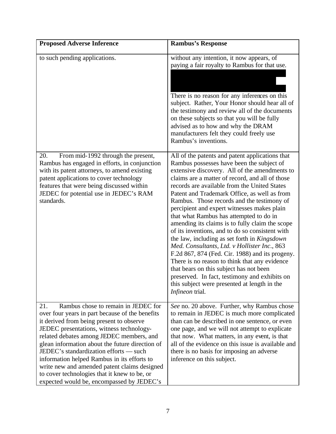| <b>Proposed Adverse Inference</b>                                                                                                                                                                                                                                                                                                                                                                                                                                                                                          | <b>Rambus's Response</b>                                                                                                                                                                                                                                                                                                                                                                                                                                                                                                                                                                                                                                                                                                                                                                                                                                                                                          |
|----------------------------------------------------------------------------------------------------------------------------------------------------------------------------------------------------------------------------------------------------------------------------------------------------------------------------------------------------------------------------------------------------------------------------------------------------------------------------------------------------------------------------|-------------------------------------------------------------------------------------------------------------------------------------------------------------------------------------------------------------------------------------------------------------------------------------------------------------------------------------------------------------------------------------------------------------------------------------------------------------------------------------------------------------------------------------------------------------------------------------------------------------------------------------------------------------------------------------------------------------------------------------------------------------------------------------------------------------------------------------------------------------------------------------------------------------------|
| to such pending applications.                                                                                                                                                                                                                                                                                                                                                                                                                                                                                              | without any intention, it now appears, of<br>paying a fair royalty to Rambus for that use.<br>There is no reason for any inferences on this<br>subject. Rather, Your Honor should hear all of<br>the testimony and review all of the documents<br>on these subjects so that you will be fully<br>advised as to how and why the DRAM<br>manufacturers felt they could freely use<br>Rambus's inventions.                                                                                                                                                                                                                                                                                                                                                                                                                                                                                                           |
| From mid-1992 through the present,<br>20.<br>Rambus has engaged in efforts, in conjunction<br>with its patent attorneys, to amend existing<br>patent applications to cover technology<br>features that were being discussed within<br>JEDEC for potential use in JEDEC's RAM<br>standards.                                                                                                                                                                                                                                 | All of the patents and patent applications that<br>Rambus possesses have been the subject of<br>extensive discovery. All of the amendments to<br>claims are a matter of record, and all of those<br>records are available from the United States<br>Patent and Trademark Office, as well as from<br>Rambus. Those records and the testimony of<br>percipient and expert witnesses makes plain<br>that what Rambus has attempted to do in<br>amending its claims is to fully claim the scope<br>of its inventions, and to do so consistent with<br>the law, including as set forth in Kingsdown<br>Med. Consultants, Ltd. v Hollister Inc., 863<br>F.2d 867, 874 (Fed. Cir. 1988) and its progeny.<br>There is no reason to think that any evidence<br>that bears on this subject has not been<br>preserved. In fact, testimony and exhibits on<br>this subject were presented at length in the<br>Infineon trial. |
| Rambus chose to remain in JEDEC for<br>21.<br>over four years in part because of the benefits<br>it derived from being present to observe<br>JEDEC presentations, witness technology-<br>related debates among JEDEC members, and<br>glean information about the future direction of<br>JEDEC's standardization efforts — such<br>information helped Rambus in its efforts to<br>write new and amended patent claims designed<br>to cover technologies that it knew to be, or<br>expected would be, encompassed by JEDEC's | See no. 20 above. Further, why Rambus chose<br>to remain in JEDEC is much more complicated<br>than can be described in one sentence, or even<br>one page, and we will not attempt to explicate<br>that now. What matters, in any event, is that<br>all of the evidence on this issue is available and<br>there is no basis for imposing an adverse<br>inference on this subject.                                                                                                                                                                                                                                                                                                                                                                                                                                                                                                                                  |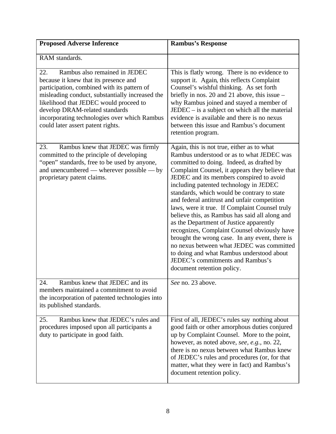| <b>Proposed Adverse Inference</b>                                                                                                                                                                                                                                                                                                                | <b>Rambus's Response</b>                                                                                                                                                                                                                                                                                                                                                                                                                                                                                                                                                                                                                                                                                                                                                                  |
|--------------------------------------------------------------------------------------------------------------------------------------------------------------------------------------------------------------------------------------------------------------------------------------------------------------------------------------------------|-------------------------------------------------------------------------------------------------------------------------------------------------------------------------------------------------------------------------------------------------------------------------------------------------------------------------------------------------------------------------------------------------------------------------------------------------------------------------------------------------------------------------------------------------------------------------------------------------------------------------------------------------------------------------------------------------------------------------------------------------------------------------------------------|
| RAM standards.                                                                                                                                                                                                                                                                                                                                   |                                                                                                                                                                                                                                                                                                                                                                                                                                                                                                                                                                                                                                                                                                                                                                                           |
| Rambus also remained in JEDEC<br>22.<br>because it knew that its presence and<br>participation, combined with its pattern of<br>misleading conduct, substantially increased the<br>likelihood that JEDEC would proceed to<br>develop DRAM-related standards<br>incorporating technologies over which Rambus<br>could later assert patent rights. | This is flatly wrong. There is no evidence to<br>support it. Again, this reflects Complaint<br>Counsel's wishful thinking. As set forth<br>briefly in nos. 20 and 21 above, this issue $-$<br>why Rambus joined and stayed a member of<br>$JEDEC - is a subject on which all the material$<br>evidence is available and there is no nexus<br>between this issue and Rambus's document<br>retention program.                                                                                                                                                                                                                                                                                                                                                                               |
| 23.<br>Rambus knew that JEDEC was firmly<br>committed to the principle of developing<br>"open" standards, free to be used by anyone,<br>and unencumbered — wherever possible — by<br>proprietary patent claims.                                                                                                                                  | Again, this is not true, either as to what<br>Rambus understood or as to what JEDEC was<br>committed to doing. Indeed, as drafted by<br>Complaint Counsel, it appears they believe that<br>JEDEC and its members conspired to avoid<br>including patented technology in JEDEC<br>standards, which would be contrary to state<br>and federal antitrust and unfair competition<br>laws, were it true. If Complaint Counsel truly<br>believe this, as Rambus has said all along and<br>as the Department of Justice apparently<br>recognizes, Complaint Counsel obviously have<br>brought the wrong case. In any event, there is<br>no nexus between what JEDEC was committed<br>to doing and what Rambus understood about<br>JEDEC's commitments and Rambus's<br>document retention policy. |
| 24.<br>Rambus knew that JEDEC and its<br>members maintained a commitment to avoid<br>the incorporation of patented technologies into<br>its published standards.                                                                                                                                                                                 | See no. 23 above.                                                                                                                                                                                                                                                                                                                                                                                                                                                                                                                                                                                                                                                                                                                                                                         |
| 25.<br>Rambus knew that JEDEC's rules and<br>procedures imposed upon all participants a<br>duty to participate in good faith.                                                                                                                                                                                                                    | First of all, JEDEC's rules say nothing about<br>good faith or other amorphous duties conjured<br>up by Complaint Counsel. More to the point,<br>however, as noted above, see, e.g., no. 22,<br>there is no nexus between what Rambus knew<br>of JEDEC's rules and procedures (or, for that<br>matter, what they were in fact) and Rambus's<br>document retention policy.                                                                                                                                                                                                                                                                                                                                                                                                                 |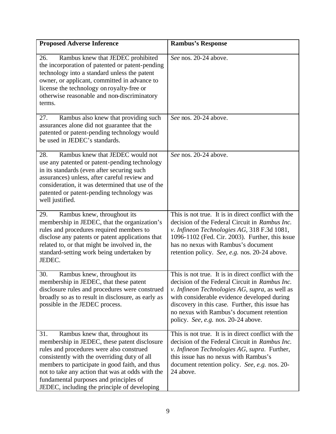| <b>Proposed Adverse Inference</b>                                                                                                                                                                                                                                                                                                                                                   | <b>Rambus's Response</b>                                                                                                                                                                                                                                                                                                                      |
|-------------------------------------------------------------------------------------------------------------------------------------------------------------------------------------------------------------------------------------------------------------------------------------------------------------------------------------------------------------------------------------|-----------------------------------------------------------------------------------------------------------------------------------------------------------------------------------------------------------------------------------------------------------------------------------------------------------------------------------------------|
| Rambus knew that JEDEC prohibited<br>26.<br>the incorporation of patented or patent-pending<br>technology into a standard unless the patent<br>owner, or applicant, committed in advance to<br>license the technology on royalty-free or<br>otherwise reasonable and non-discriminatory<br>terms.                                                                                   | See nos. 20-24 above.                                                                                                                                                                                                                                                                                                                         |
| Rambus also knew that providing such<br>27.<br>assurances alone did not guarantee that the<br>patented or patent-pending technology would<br>be used in JEDEC's standards.                                                                                                                                                                                                          | See nos. 20-24 above.                                                                                                                                                                                                                                                                                                                         |
| Rambus knew that JEDEC would not<br>28.<br>use any patented or patent-pending technology<br>in its standards (even after securing such<br>assurances) unless, after careful review and<br>consideration, it was determined that use of the<br>patented or patent-pending technology was<br>well justified.                                                                          | See nos. 20-24 above.                                                                                                                                                                                                                                                                                                                         |
| 29.<br>Rambus knew, throughout its<br>membership in JEDEC, that the organization's<br>rules and procedures required members to<br>disclose any patents or patent applications that<br>related to, or that might be involved in, the<br>standard-setting work being undertaken by<br>JEDEC.                                                                                          | This is not true. It is in direct conflict with the<br>decision of the Federal Circuit in Rambus Inc.<br>v. Infineon Technologies AG, 318 F.3d 1081,<br>1096-1102 (Fed. Cir. 2003). Further, this issue<br>has no nexus with Rambus's document<br>retention policy. See, e.g. nos. 20-24 above.                                               |
| Rambus knew, throughout its<br>30.<br>membership in JEDEC, that these patent<br>disclosure rules and procedures were construed<br>broadly so as to result in disclosure, as early as<br>possible in the JEDEC process.                                                                                                                                                              | This is not true. It is in direct conflict with the<br>decision of the Federal Circuit in Rambus Inc.<br>v. Infineon Technologies AG, supra, as well as<br>with considerable evidence developed during<br>discovery in this case. Further, this issue has<br>no nexus with Rambus's document retention<br>policy. See, e.g. nos. 20-24 above. |
| Rambus knew that, throughout its<br>31.<br>membership in JEDEC, these patent disclosure<br>rules and procedures were also construed<br>consistently with the overriding duty of all<br>members to participate in good faith, and thus<br>not to take any action that was at odds with the<br>fundamental purposes and principles of<br>JEDEC, including the principle of developing | This is not true. It is in direct conflict with the<br>decision of the Federal Circuit in Rambus Inc.<br>v. Infineon Technologies AG, supra. Further,<br>this issue has no nexus with Rambus's<br>document retention policy. See, e.g. nos. 20-<br>24 above.                                                                                  |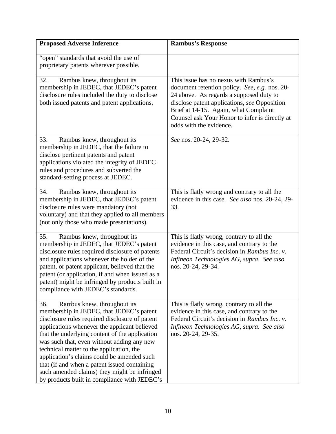| <b>Proposed Adverse Inference</b>                                                                                                                                                                                                                                                                                                                                                                                                                                                                                          | <b>Rambus's Response</b>                                                                                                                                                                                                                                                                                |
|----------------------------------------------------------------------------------------------------------------------------------------------------------------------------------------------------------------------------------------------------------------------------------------------------------------------------------------------------------------------------------------------------------------------------------------------------------------------------------------------------------------------------|---------------------------------------------------------------------------------------------------------------------------------------------------------------------------------------------------------------------------------------------------------------------------------------------------------|
| "open" standards that avoid the use of<br>proprietary patents wherever possible.                                                                                                                                                                                                                                                                                                                                                                                                                                           |                                                                                                                                                                                                                                                                                                         |
| 32.<br>Rambus knew, throughout its<br>membership in JEDEC, that JEDEC's patent<br>disclosure rules included the duty to disclose<br>both issued patents and patent applications.                                                                                                                                                                                                                                                                                                                                           | This issue has no nexus with Rambus's<br>document retention policy. See, e.g. nos. 20-<br>24 above. As regards a supposed duty to<br>disclose patent applications, see Opposition<br>Brief at 14-15. Again, what Complaint<br>Counsel ask Your Honor to infer is directly at<br>odds with the evidence. |
| 33.<br>Rambus knew, throughout its<br>membership in JEDEC, that the failure to<br>disclose pertinent patents and patent<br>applications violated the integrity of JEDEC<br>rules and procedures and subverted the<br>standard-setting process at JEDEC.                                                                                                                                                                                                                                                                    | See nos. 20-24, 29-32.                                                                                                                                                                                                                                                                                  |
| 34.<br>Rambus knew, throughout its<br>membership in JEDEC, that JEDEC's patent<br>disclosure rules were mandatory (not<br>voluntary) and that they applied to all members<br>(not only those who made presentations).                                                                                                                                                                                                                                                                                                      | This is flatly wrong and contrary to all the<br>evidence in this case. See also nos. 20-24, 29-<br>33.                                                                                                                                                                                                  |
| 35.<br>Rambus knew, throughout its<br>membership in JEDEC, that JEDEC's patent<br>disclosure rules required disclosure of patents<br>and applications whenever the holder of the<br>patent, or patent applicant, believed that the<br>patent (or application, if and when issued as a<br>patent) might be infringed by products built in<br>compliance with JEDEC's standards.                                                                                                                                             | This is flatly wrong, contrary to all the<br>evidence in this case, and contrary to the<br>Federal Circuit's decision in Rambus Inc. v.<br>Infineon Technologies AG, supra. See also<br>nos. 20-24, 29-34.                                                                                              |
| 36.<br>Rambus knew, throughout its<br>membership in JEDEC, that JEDEC's patent<br>disclosure rules required disclosure of patent<br>applications whenever the applicant believed<br>that the underlying content of the application<br>was such that, even without adding any new<br>technical matter to the application, the<br>application's claims could be amended such<br>that (if and when a patent issued containing<br>such amended claims) they might be infringed<br>by products built in compliance with JEDEC's | This is flatly wrong, contrary to all the<br>evidence in this case, and contrary to the<br>Federal Circuit's decision in Rambus Inc. v.<br>Infineon Technologies AG, supra. See also<br>nos. 20-24, 29-35.                                                                                              |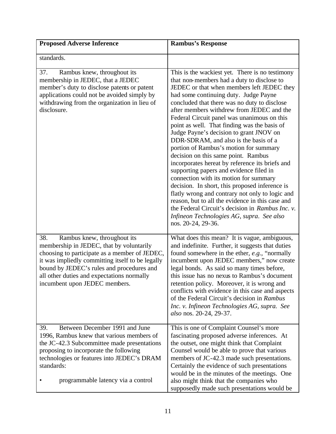| <b>Proposed Adverse Inference</b>                                                                                                                                                                                                                                                                               | <b>Rambus's Response</b>                                                                                                                                                                                                                                                                                                                                                                                                                                                                                                                                                                                                                                                                                                                                                                                                                                                                                                                                                      |
|-----------------------------------------------------------------------------------------------------------------------------------------------------------------------------------------------------------------------------------------------------------------------------------------------------------------|-------------------------------------------------------------------------------------------------------------------------------------------------------------------------------------------------------------------------------------------------------------------------------------------------------------------------------------------------------------------------------------------------------------------------------------------------------------------------------------------------------------------------------------------------------------------------------------------------------------------------------------------------------------------------------------------------------------------------------------------------------------------------------------------------------------------------------------------------------------------------------------------------------------------------------------------------------------------------------|
| standards.                                                                                                                                                                                                                                                                                                      |                                                                                                                                                                                                                                                                                                                                                                                                                                                                                                                                                                                                                                                                                                                                                                                                                                                                                                                                                                               |
| 37.<br>Rambus knew, throughout its<br>membership in JEDEC, that a JEDEC<br>member's duty to disclose patents or patent<br>applications could not be avoided simply by<br>withdrawing from the organization in lieu of<br>disclosure.                                                                            | This is the wackiest yet. There is no testimony<br>that non-members had a duty to disclose to<br>JEDEC or that when members left JEDEC they<br>had some continuing duty. Judge Payne<br>concluded that there was no duty to disclose<br>after members withdrew from JEDEC and the<br>Federal Circuit panel was unanimous on this<br>point as well. That finding was the basis of<br>Judge Payne's decision to grant JNOV on<br>DDR-SDRAM, and also is the basis of a<br>portion of Rambus's motion for summary<br>decision on this same point. Rambus<br>incorporates hereat by reference its briefs and<br>supporting papers and evidence filed in<br>connection with its motion for summary<br>decision. In short, this proposed inference is<br>flatly wrong and contrary not only to logic and<br>reason, but to all the evidence in this case and<br>the Federal Circuit's decision in Rambus Inc. v.<br>Infineon Technologies AG, supra. See also<br>nos. 20-24, 29-36. |
| 38.<br>Rambus knew, throughout its<br>membership in JEDEC, that by voluntarily<br>choosing to participate as a member of JEDEC,<br>it was impliedly committing itself to be legally<br>bound by JEDEC's rules and procedures and<br>all other duties and expectations normally<br>incumbent upon JEDEC members. | What does this mean? It is vague, ambiguous,<br>and indefinite. Further, it suggests that duties<br>found somewhere in the ether, e.g., "normally<br>incumbent upon JEDEC members," now create<br>legal bonds. As said so many times before,<br>this issue has no nexus to Rambus's document<br>retention policy. Moreover, it is wrong and<br>conflicts with evidence in this case and aspects<br>of the Federal Circuit's decision in Rambus<br>Inc. v. Infineon Technologies AG, supra. See<br>also nos. 20-24, 29-37.                                                                                                                                                                                                                                                                                                                                                                                                                                                     |
| Between December 1991 and June<br>39.<br>1996, Rambus knew that various members of<br>the JC-42.3 Subcommittee made presentations<br>proposing to incorporate the following<br>technologies or features into JEDEC's DRAM<br>standards:<br>programmable latency via a control                                   | This is one of Complaint Counsel's more<br>fascinating proposed adverse inferences. At<br>the outset, one might think that Complaint<br>Counsel would be able to prove that various<br>members of JC-42.3 made such presentations.<br>Certainly the evidence of such presentations<br>would be in the minutes of the meetings. One<br>also might think that the companies who<br>supposedly made such presentations would be                                                                                                                                                                                                                                                                                                                                                                                                                                                                                                                                                  |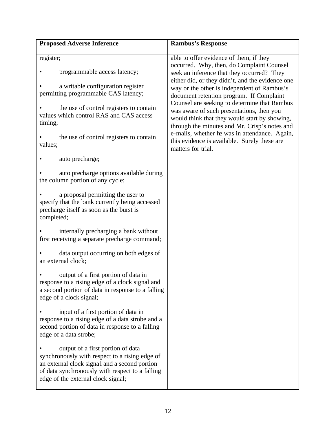| <b>Proposed Adverse Inference</b>                                                                                                                                                                                             | <b>Rambus's Response</b>                                                                                                                                                                    |
|-------------------------------------------------------------------------------------------------------------------------------------------------------------------------------------------------------------------------------|---------------------------------------------------------------------------------------------------------------------------------------------------------------------------------------------|
| register;                                                                                                                                                                                                                     | able to offer evidence of them, if they<br>occurred. Why, then, do Complaint Counsel                                                                                                        |
| programmable access latency;                                                                                                                                                                                                  | seek an inference that they occurred? They<br>either did, or they didn't, and the evidence one                                                                                              |
| a writable configuration register<br>permitting programmable CAS latency;                                                                                                                                                     | way or the other is independent of Rambus's<br>document retention program. If Complaint                                                                                                     |
| the use of control registers to contain<br>values which control RAS and CAS access<br>timing;                                                                                                                                 | Counsel are seeking to determine that Rambus<br>was aware of such presentations, then you<br>would think that they would start by showing,<br>through the minutes and Mr. Crisp's notes and |
| the use of control registers to contain<br>values;                                                                                                                                                                            | e-mails, whether he was in attendance. Again,<br>this evidence is available. Surely these are<br>matters for trial.                                                                         |
| auto precharge;                                                                                                                                                                                                               |                                                                                                                                                                                             |
| auto precharge options available during<br>the column portion of any cycle;                                                                                                                                                   |                                                                                                                                                                                             |
| a proposal permitting the user to<br>specify that the bank currently being accessed<br>precharge itself as soon as the burst is<br>completed;                                                                                 |                                                                                                                                                                                             |
| internally precharging a bank without<br>first receiving a separate precharge command;                                                                                                                                        |                                                                                                                                                                                             |
| data output occurring on both edges of<br>an external clock;                                                                                                                                                                  |                                                                                                                                                                                             |
| output of a first portion of data in<br>response to a rising edge of a clock signal and<br>a second portion of data in response to a falling<br>edge of a clock signal;                                                       |                                                                                                                                                                                             |
| input of a first portion of data in<br>response to a rising edge of a data strobe and a<br>second portion of data in response to a falling<br>edge of a data strobe;                                                          |                                                                                                                                                                                             |
| output of a first portion of data<br>synchronously with respect to a rising edge of<br>an external clock signal and a second portion<br>of data synchronously with respect to a falling<br>edge of the external clock signal; |                                                                                                                                                                                             |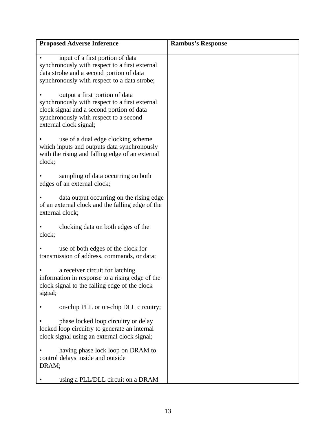| <b>Proposed Adverse Inference</b>                                                                                                                                                                 | <b>Rambus's Response</b> |
|---------------------------------------------------------------------------------------------------------------------------------------------------------------------------------------------------|--------------------------|
| input of a first portion of data<br>synchronously with respect to a first external<br>data strobe and a second portion of data<br>synchronously with respect to a data strobe;                    |                          |
| output a first portion of data<br>synchronously with respect to a first external<br>clock signal and a second portion of data<br>synchronously with respect to a second<br>external clock signal; |                          |
| use of a dual edge clocking scheme<br>which inputs and outputs data synchronously<br>with the rising and falling edge of an external<br>clock;                                                    |                          |
| sampling of data occurring on both<br>edges of an external clock;                                                                                                                                 |                          |
| data output occurring on the rising edge<br>of an external clock and the falling edge of the<br>external clock;                                                                                   |                          |
| clocking data on both edges of the<br>clock;                                                                                                                                                      |                          |
| use of both edges of the clock for<br>transmission of address, commands, or data;                                                                                                                 |                          |
| a receiver circuit for latching<br>information in response to a rising edge of the<br>clock signal to the falling edge of the clock<br>signal;                                                    |                          |
| on-chip PLL or on-chip DLL circuitry;                                                                                                                                                             |                          |
| phase locked loop circuitry or delay<br>locked loop circuitry to generate an internal<br>clock signal using an external clock signal;                                                             |                          |
| having phase lock loop on DRAM to<br>control delays inside and outside<br>DRAM;                                                                                                                   |                          |
| using a PLL/DLL circuit on a DRAM                                                                                                                                                                 |                          |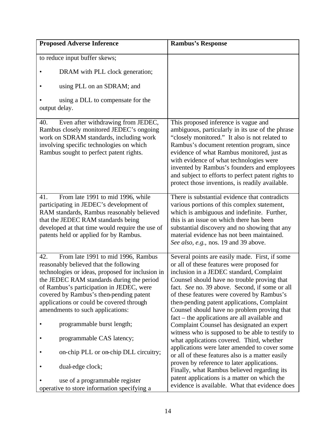| <b>Proposed Adverse Inference</b>                                                                                                                                                                                                                                                                                                                                                                                                                               | <b>Rambus's Response</b>                                                                                                                                                                                                                                                                                                                                                                                                                                                                                                                                                                                                                                                                                                                 |
|-----------------------------------------------------------------------------------------------------------------------------------------------------------------------------------------------------------------------------------------------------------------------------------------------------------------------------------------------------------------------------------------------------------------------------------------------------------------|------------------------------------------------------------------------------------------------------------------------------------------------------------------------------------------------------------------------------------------------------------------------------------------------------------------------------------------------------------------------------------------------------------------------------------------------------------------------------------------------------------------------------------------------------------------------------------------------------------------------------------------------------------------------------------------------------------------------------------------|
| to reduce input buffer skews;                                                                                                                                                                                                                                                                                                                                                                                                                                   |                                                                                                                                                                                                                                                                                                                                                                                                                                                                                                                                                                                                                                                                                                                                          |
| DRAM with PLL clock generation;                                                                                                                                                                                                                                                                                                                                                                                                                                 |                                                                                                                                                                                                                                                                                                                                                                                                                                                                                                                                                                                                                                                                                                                                          |
| using PLL on an SDRAM; and                                                                                                                                                                                                                                                                                                                                                                                                                                      |                                                                                                                                                                                                                                                                                                                                                                                                                                                                                                                                                                                                                                                                                                                                          |
| using a DLL to compensate for the<br>output delay.                                                                                                                                                                                                                                                                                                                                                                                                              |                                                                                                                                                                                                                                                                                                                                                                                                                                                                                                                                                                                                                                                                                                                                          |
| Even after withdrawing from JEDEC,<br>40.<br>Rambus closely monitored JEDEC's ongoing<br>work on SDRAM standards, including work<br>involving specific technologies on which<br>Rambus sought to perfect patent rights.                                                                                                                                                                                                                                         | This proposed inference is vague and<br>ambiguous, particularly in its use of the phrase<br>"closely monitored." It also is not related to<br>Rambus's document retention program, since<br>evidence of what Rambus monitored, just as<br>with evidence of what technologies were<br>invented by Rambus's founders and employees<br>and subject to efforts to perfect patent rights to<br>protect those inventions, is readily available.                                                                                                                                                                                                                                                                                                |
| From late 1991 to mid 1996, while<br>41.<br>participating in JEDEC's development of<br>RAM standards, Rambus reasonably believed<br>that the JEDEC RAM standards being<br>developed at that time would require the use of<br>patents held or applied for by Rambus.                                                                                                                                                                                             | There is substantial evidence that contradicts<br>various portions of this complex statement,<br>which is ambiguous and indefinite. Further,<br>this is an issue on which there has been<br>substantial discovery and no showing that any<br>material evidence has not been maintained.<br>See also, e.g., nos. 19 and 39 above.                                                                                                                                                                                                                                                                                                                                                                                                         |
| From late 1991 to mid 1996, Rambus<br>42.<br>reasonably believed that the following<br>technologies or ideas, proposed for inclusion in<br>the JEDEC RAM standards during the period<br>of Rambus's participation in JEDEC, were<br>covered by Rambus's then-pending patent<br>applications or could be covered through<br>amendments to such applications:<br>programmable burst length;<br>programmable CAS latency;<br>on-chip PLL or on-chip DLL circuitry; | Several points are easily made. First, if some<br>or all of these features were proposed for<br>inclusion in a JEDEC standard, Complaint<br>Counsel should have no trouble proving that<br>fact. See no. 39 above. Second, if some or all<br>of these features were covered by Rambus's<br>then-pending patent applications, Complaint<br>Counsel should have no problem proving that<br>fact – the applications are all available and<br>Complaint Counsel has designated an expert<br>witness who is supposed to be able to testify to<br>what applications covered. Third, whether<br>applications were later amended to cover some<br>or all of these features also is a matter easily<br>proven by reference to later applications. |
| dual-edge clock;<br>use of a programmable register<br>operative to store information specifying a                                                                                                                                                                                                                                                                                                                                                               | Finally, what Rambus believed regarding its<br>patent applications is a matter on which the<br>evidence is available. What that evidence does                                                                                                                                                                                                                                                                                                                                                                                                                                                                                                                                                                                            |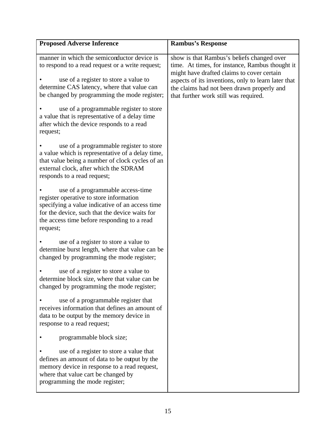| <b>Proposed Adverse Inference</b>                                                                                                                                                                                                                                                                                                                                                 | <b>Rambus's Response</b>                                                                                                                                                                                                                                                                  |
|-----------------------------------------------------------------------------------------------------------------------------------------------------------------------------------------------------------------------------------------------------------------------------------------------------------------------------------------------------------------------------------|-------------------------------------------------------------------------------------------------------------------------------------------------------------------------------------------------------------------------------------------------------------------------------------------|
| manner in which the semiconductor device is<br>to respond to a read request or a write request;<br>use of a register to store a value to<br>determine CAS latency, where that value can<br>be changed by programming the mode register;<br>use of a programmable register to store<br>a value that is representative of a delay time<br>after which the device responds to a read | show is that Rambus's beliefs changed over<br>time. At times, for instance, Rambus thought it<br>might have drafted claims to cover certain<br>aspects of its inventions, only to learn later that<br>the claims had not been drawn properly and<br>that further work still was required. |
| request;<br>use of a programmable register to store<br>a value which is representative of a delay time,<br>that value being a number of clock cycles of an<br>external clock, after which the SDRAM<br>responds to a read request;                                                                                                                                                |                                                                                                                                                                                                                                                                                           |
| use of a programmable access-time<br>register operative to store information<br>specifying a value indicative of an access time<br>for the device, such that the device waits for<br>the access time before responding to a read<br>request;                                                                                                                                      |                                                                                                                                                                                                                                                                                           |
| use of a register to store a value to<br>determine burst length, where that value can be<br>changed by programming the mode register;                                                                                                                                                                                                                                             |                                                                                                                                                                                                                                                                                           |
| use of a register to store a value to<br>determine block size, where that value can be<br>changed by programming the mode register;                                                                                                                                                                                                                                               |                                                                                                                                                                                                                                                                                           |
| use of a programmable register that<br>receives information that defines an amount of<br>data to be output by the memory device in<br>response to a read request;                                                                                                                                                                                                                 |                                                                                                                                                                                                                                                                                           |
| programmable block size;                                                                                                                                                                                                                                                                                                                                                          |                                                                                                                                                                                                                                                                                           |
| use of a register to store a value that<br>defines an amount of data to be output by the<br>memory device in response to a read request,<br>where that value cart be changed by<br>programming the mode register;                                                                                                                                                                 |                                                                                                                                                                                                                                                                                           |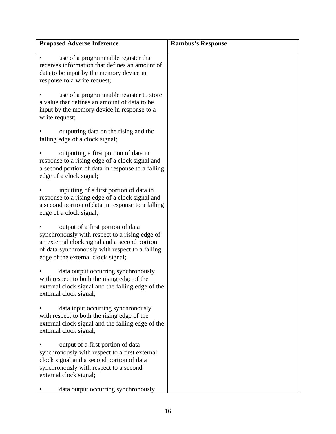| <b>Proposed Adverse Inference</b>                                                                                                                                                                                                           | <b>Rambus's Response</b> |
|---------------------------------------------------------------------------------------------------------------------------------------------------------------------------------------------------------------------------------------------|--------------------------|
| use of a programmable register that<br>receives information that defines an amount of<br>data to be input by the memory device in<br>response to a write request;                                                                           |                          |
| use of a programmable register to store<br>a value that defines an amount of data to be<br>input by the memory device in response to a<br>write request;                                                                                    |                          |
| outputting data on the rising and the<br>falling edge of a clock signal;                                                                                                                                                                    |                          |
| outputting a first portion of data in<br>response to a rising edge of a clock signal and<br>a second portion of data in response to a falling<br>edge of a clock signal;                                                                    |                          |
| inputting of a first portion of data in<br>response to a rising edge of a clock signal and<br>a second portion of data in response to a falling<br>edge of a clock signal;                                                                  |                          |
| output of a first portion of data<br>synchronously with respect to a rising edge of<br>an external clock signal and a second portion<br>of data synchronously with respect to a falling<br>edge of the external clock signal;               |                          |
| data output occurring synchronously<br>with respect to both the rising edge of the<br>external clock signal and the falling edge of the<br>external clock signal;                                                                           |                          |
| data input occurring synchronously<br>with respect to both the rising edge of the<br>external clock signal and the falling edge of the<br>external clock signal;                                                                            |                          |
| output of a first portion of data<br>synchronously with respect to a first external<br>clock signal and a second portion of data<br>synchronously with respect to a second<br>external clock signal;<br>data output occurring synchronously |                          |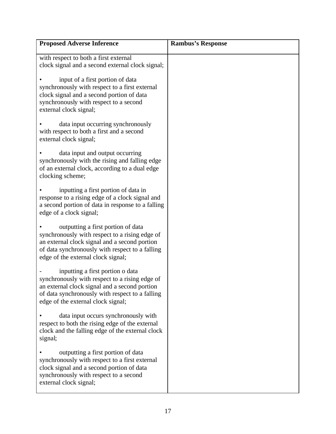| <b>Proposed Adverse Inference</b>                                                                                                                                                                                              | <b>Rambus's Response</b> |
|--------------------------------------------------------------------------------------------------------------------------------------------------------------------------------------------------------------------------------|--------------------------|
| with respect to both a first external<br>clock signal and a second external clock signal;                                                                                                                                      |                          |
| input of a first portion of data<br>synchronously with respect to a first external<br>clock signal and a second portion of data<br>synchronously with respect to a second<br>external clock signal;                            |                          |
| data input occurring synchronously<br>with respect to both a first and a second<br>external clock signal;                                                                                                                      |                          |
| data input and output occurring<br>synchronously with the rising and falling edge<br>of an external clock, according to a dual edge<br>clocking scheme;                                                                        |                          |
| inputting a first portion of data in<br>response to a rising edge of a clock signal and<br>a second portion of data in response to a falling<br>edge of a clock signal;                                                        |                          |
| outputting a first portion of data<br>synchronously with respect to a rising edge of<br>an external clock signal and a second portion<br>of data synchronously with respect to a falling<br>edge of the external clock signal; |                          |
| inputting a first portion o data<br>synchronously with respect to a rising edge of<br>an external clock signal and a second portion<br>of data synchronously with respect to a falling<br>edge of the external clock signal;   |                          |
| data input occurs synchronously with<br>respect to both the rising edge of the external<br>clock and the falling edge of the external clock<br>signal;                                                                         |                          |
| outputting a first portion of data<br>synchronously with respect to a first external<br>clock signal and a second portion of data<br>synchronously with respect to a second<br>external clock signal;                          |                          |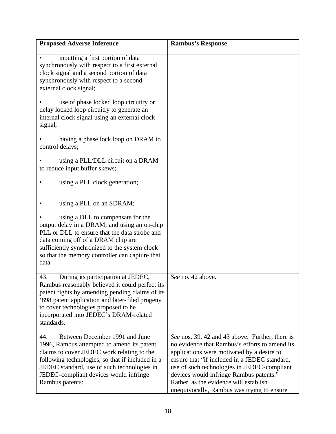| <b>Proposed Adverse Inference</b>                                                                                                                                                                                                                                                                  | <b>Rambus's Response</b>                                                                                                                                                                                                                                                                                                                                                           |
|----------------------------------------------------------------------------------------------------------------------------------------------------------------------------------------------------------------------------------------------------------------------------------------------------|------------------------------------------------------------------------------------------------------------------------------------------------------------------------------------------------------------------------------------------------------------------------------------------------------------------------------------------------------------------------------------|
| inputting a first portion of data<br>synchronously with respect to a first external<br>clock signal and a second portion of data<br>synchronously with respect to a second<br>external clock signal;                                                                                               |                                                                                                                                                                                                                                                                                                                                                                                    |
| use of phase locked loop circuitry or<br>delay locked loop circuitry to generate an<br>internal clock signal using an external clock<br>signal;                                                                                                                                                    |                                                                                                                                                                                                                                                                                                                                                                                    |
| having a phase lock loop on DRAM to<br>control delays;                                                                                                                                                                                                                                             |                                                                                                                                                                                                                                                                                                                                                                                    |
| using a PLL/DLL circuit on a DRAM<br>to reduce input buffer skews;                                                                                                                                                                                                                                 |                                                                                                                                                                                                                                                                                                                                                                                    |
| using a PLL clock generation;                                                                                                                                                                                                                                                                      |                                                                                                                                                                                                                                                                                                                                                                                    |
| using a PLL on an SDRAM;                                                                                                                                                                                                                                                                           |                                                                                                                                                                                                                                                                                                                                                                                    |
| using a DLL to compensate for the<br>output delay in a DRAM; and using an on-chip<br>PLL or DLL to ensure that the data strobe and<br>data coming off of a DRAM chip are<br>sufficiently synchronized to the system clock<br>so that the memory controller can capture that<br>data.               |                                                                                                                                                                                                                                                                                                                                                                                    |
| 43.<br>During its participation at JEDEC,<br>Rambus reasonably believed it could perfect its<br>patent rights by amending pending claims of its<br>'898 patent application and later-filed progeny<br>to cover technologies proposed to he<br>incorporated into JEDEC's DRAM-related<br>standards. | See no. 42 above.                                                                                                                                                                                                                                                                                                                                                                  |
| Between December 1991 and June<br>44.<br>1996, Rambus attempted to amend its patent<br>claims to cover JEDEC work relating to the<br>following technologies, so that if included in a<br>JEDEC standard, use of such technologies in<br>JEDEC-compliant devices would infringe<br>Rambus patents:  | See nos. 39, 42 and 43 above. Further, there is<br>no evidence that Rambus's efforts to amend its<br>applications were motivated by a desire to<br>ensure that "if included in a JEDEC standard,<br>use of such technologies in JEDEC-compliant<br>devices would infringe Rambus patents."<br>Rather, as the evidence will establish<br>unequivocally, Rambus was trying to ensure |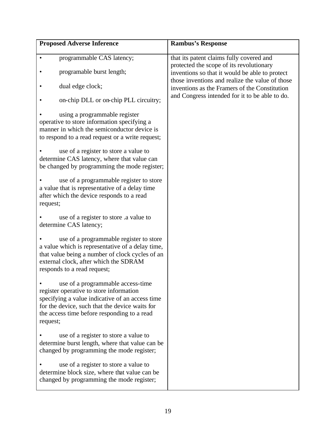| <b>Proposed Adverse Inference</b>                                                                                                                                                                                                            | <b>Rambus's Response</b>                                                                         |
|----------------------------------------------------------------------------------------------------------------------------------------------------------------------------------------------------------------------------------------------|--------------------------------------------------------------------------------------------------|
| programmable CAS latency;                                                                                                                                                                                                                    | that its patent claims fully covered and<br>protected the scope of its revolutionary             |
| programable burst length;                                                                                                                                                                                                                    | inventions so that it would be able to protect                                                   |
| dual edge clock;                                                                                                                                                                                                                             | those inventions and realize the value of those<br>inventions as the Framers of the Constitution |
| on-chip DLL or on-chip PLL circuitry;                                                                                                                                                                                                        | and Congress intended for it to be able to do.                                                   |
| using a programmable register<br>operative to store information specifying a<br>manner in which the semiconductor device is<br>to respond to a read request or a write request;                                                              |                                                                                                  |
| use of a register to store a value to<br>determine CAS latency, where that value can<br>be changed by programming the mode register;                                                                                                         |                                                                                                  |
| use of a programmable register to store<br>a value that is representative of a delay time<br>after which the device responds to a read<br>request;                                                                                           |                                                                                                  |
| use of a register to store a value to<br>determine CAS latency;                                                                                                                                                                              |                                                                                                  |
| use of a programmable register to store<br>a value which is representative of a delay time,<br>that value being a number of clock cycles of an<br>external clock, after which the SDRAM<br>responds to a read request;                       |                                                                                                  |
| use of a programmable access-time<br>register operative to store information<br>specifying a value indicative of an access time<br>for the device, such that the device waits for<br>the access time before responding to a read<br>request; |                                                                                                  |
| use of a register to store a value to<br>determine burst length, where that value can be<br>changed by programming the mode register;                                                                                                        |                                                                                                  |
| use of a register to store a value to<br>determine block size, where that value can be<br>changed by programming the mode register;                                                                                                          |                                                                                                  |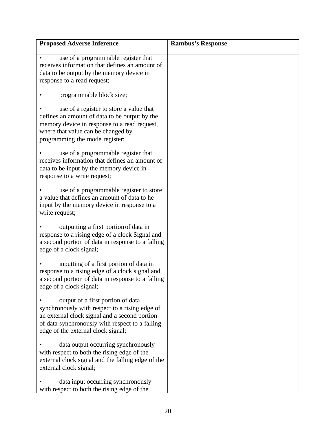| <b>Proposed Adverse Inference</b>                                                                                                                                                                                             | <b>Rambus's Response</b> |
|-------------------------------------------------------------------------------------------------------------------------------------------------------------------------------------------------------------------------------|--------------------------|
| use of a programmable register that<br>receives information that defines an amount of<br>data to be output by the memory device in<br>response to a read request;                                                             |                          |
| programmable block size;                                                                                                                                                                                                      |                          |
| use of a register to store a value that<br>defines an amount of data to be output by the<br>memory device in response to a read request,<br>where that value can be changed by<br>programming the mode register;              |                          |
| use of a programmable register that<br>receives information that defines an amount of<br>data to be input by the memory device in<br>response to a write request;                                                             |                          |
| use of a programmable register to store<br>a value that defines an amount of data to he<br>input by the memory device in response to a<br>write request;                                                                      |                          |
| outputting a first portion of data in<br>response to a rising edge of a clock Signal and<br>a second portion of data in response to a falling<br>edge of a clock signal;                                                      |                          |
| inputting of a first portion of data in<br>response to a rising edge of a clock signal and<br>a second portion of data in response to a falling<br>edge of a clock signal;                                                    |                          |
| output of a first portion of data<br>synchronously with respect to a rising edge of<br>an external clock signal and a second portion<br>of data synchronously with respect to a falling<br>edge of the external clock signal; |                          |
| data output occurring synchronously<br>with respect to both the rising edge of the<br>external clock signal and the falling edge of the<br>external clock signal;                                                             |                          |
| data input occurring synchronously<br>with respect to both the rising edge of the                                                                                                                                             |                          |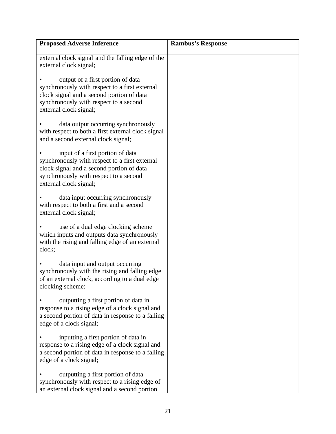| <b>Proposed Adverse Inference</b>                                                                                                                                                                    | <b>Rambus's Response</b> |
|------------------------------------------------------------------------------------------------------------------------------------------------------------------------------------------------------|--------------------------|
| external clock signal and the falling edge of the<br>external clock signal;                                                                                                                          |                          |
| output of a first portion of data<br>synchronously with respect to a first external<br>clock signal and a second portion of data<br>synchronously with respect to a second<br>external clock signal; |                          |
| data output occurring synchronously<br>with respect to both a first external clock signal<br>and a second external clock signal;                                                                     |                          |
| input of a first portion of data<br>synchronously with respect to a first external<br>clock signal and a second portion of data<br>synchronously with respect to a second<br>external clock signal;  |                          |
| data input occurring synchronously<br>with respect to both a first and a second<br>external clock signal;                                                                                            |                          |
| use of a dual edge clocking scheme<br>which inputs and outputs data synchronously<br>with the rising and falling edge of an external<br>clock;                                                       |                          |
| data input and output occurring<br>synchronously with the rising and falling edge<br>of an external clock, according to a dual edge<br>clocking scheme;                                              |                          |
| outputting a first portion of data in<br>response to a rising edge of a clock signal and<br>a second portion of data in response to a falling<br>edge of a clock signal;                             |                          |
| inputting a first portion of data in<br>response to a rising edge of a clock signal and<br>a second portion of data in response to a falling<br>edge of a clock signal;                              |                          |
| outputting a first portion of data<br>synchronously with respect to a rising edge of<br>an external clock signal and a second portion                                                                |                          |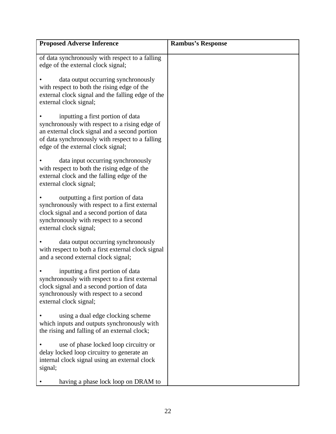| <b>Proposed Adverse Inference</b>                                                                                                                                                                                             | <b>Rambus's Response</b> |
|-------------------------------------------------------------------------------------------------------------------------------------------------------------------------------------------------------------------------------|--------------------------|
| of data synchronously with respect to a falling<br>edge of the external clock signal;                                                                                                                                         |                          |
| data output occurring synchronously<br>with respect to both the rising edge of the<br>external clock signal and the falling edge of the<br>external clock signal;                                                             |                          |
| inputting a first portion of data<br>synchronously with respect to a rising edge of<br>an external clock signal and a second portion<br>of data synchronously with respect to a falling<br>edge of the external clock signal; |                          |
| data input occurring synchronously<br>with respect to both the rising edge of the<br>external clock and the falling edge of the<br>external clock signal;                                                                     |                          |
| outputting a first portion of data<br>synchronously with respect to a first external<br>clock signal and a second portion of data<br>synchronously with respect to a second<br>external clock signal;                         |                          |
| data output occurring synchronously<br>with respect to both a first external clock signal<br>and a second external clock signal;                                                                                              |                          |
| inputting a first portion of data<br>synchronously with respect to a first external<br>clock signal and a second portion of data<br>synchronously with respect to a second<br>external clock signal;                          |                          |
| using a dual edge clocking scheme<br>which inputs and outputs synchronously with<br>the rising and falling of an external clock;                                                                                              |                          |
| use of phase locked loop circuitry or<br>delay locked loop circuitry to generate an<br>internal clock signal using an external clock<br>signal;                                                                               |                          |
| having a phase lock loop on DRAM to                                                                                                                                                                                           |                          |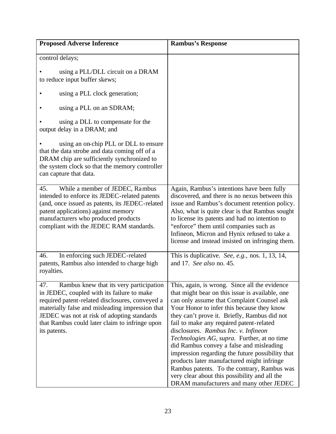| <b>Proposed Adverse Inference</b>                                                                                                                                                                                                                                                                                   | <b>Rambus's Response</b>                                                                                                                                                                                                                                                                                                                                                                                                                                                                                                                                                                                                                                                 |
|---------------------------------------------------------------------------------------------------------------------------------------------------------------------------------------------------------------------------------------------------------------------------------------------------------------------|--------------------------------------------------------------------------------------------------------------------------------------------------------------------------------------------------------------------------------------------------------------------------------------------------------------------------------------------------------------------------------------------------------------------------------------------------------------------------------------------------------------------------------------------------------------------------------------------------------------------------------------------------------------------------|
| control delays;                                                                                                                                                                                                                                                                                                     |                                                                                                                                                                                                                                                                                                                                                                                                                                                                                                                                                                                                                                                                          |
| using a PLL/DLL circuit on a DRAM<br>to reduce input buffer skews;                                                                                                                                                                                                                                                  |                                                                                                                                                                                                                                                                                                                                                                                                                                                                                                                                                                                                                                                                          |
| using a PLL clock generation;                                                                                                                                                                                                                                                                                       |                                                                                                                                                                                                                                                                                                                                                                                                                                                                                                                                                                                                                                                                          |
| using a PLL on an SDRAM;                                                                                                                                                                                                                                                                                            |                                                                                                                                                                                                                                                                                                                                                                                                                                                                                                                                                                                                                                                                          |
| using a DLL to compensate for the<br>output delay in a DRAM; and                                                                                                                                                                                                                                                    |                                                                                                                                                                                                                                                                                                                                                                                                                                                                                                                                                                                                                                                                          |
| using an on-chip PLL or DLL to ensure<br>that the data strobe and data coming off of a<br>DRAM chip are sufficiently synchronized to<br>the system clock so that the memory controller<br>can capture that data.                                                                                                    |                                                                                                                                                                                                                                                                                                                                                                                                                                                                                                                                                                                                                                                                          |
| While a member of JEDEC, Rambus<br>45.<br>intended to enforce its JEDEC-related patents<br>(and, once issued as patents, its JEDEC-related<br>patent applications) against memory<br>manufacturers who produced products<br>compliant with the JEDEC RAM standards.                                                 | Again, Rambus's intentions have been fully<br>discovered, and there is no nexus between this<br>issue and Rambus's document retention policy.<br>Also, what is quite clear is that Rambus sought<br>to license its patents and had no intention to<br>"enforce" them until companies such as<br>Infineon, Micron and Hynix refused to take a<br>license and instead insisted on infringing them.                                                                                                                                                                                                                                                                         |
| In enforcing such JEDEC-related<br>46.<br>patents, Rambus also intended to charge high<br>royalties.                                                                                                                                                                                                                | This is duplicative. See, e.g., nos. 1, 13, 14,<br>and 17. See also no. 45.                                                                                                                                                                                                                                                                                                                                                                                                                                                                                                                                                                                              |
| Rambus knew that its very participation<br>47.<br>in JEDEC, coupled with its failure to make<br>required patent-related disclosures, conveyed a<br>materially false and misleading impression that<br>JEDEC was not at risk of adopting standards<br>that Rambus could later claim to infringe upon<br>its patents. | This, again, is wrong. Since all the evidence<br>that might bear on this issue is available, one<br>can only assume that Complaint Counsel ask<br>Your Honor to infer this because they know<br>they can't prove it. Briefly, Rambus did not<br>fail to make any required patent-related<br>disclosures. Rambus Inc. v. Infineon<br>Technologies AG, supra. Further, at no time<br>did Rambus convey a false and misleading<br>impression regarding the future possibility that<br>products later manufactured might infringe<br>Rambus patents. To the contrary, Rambus was<br>very clear about this possibility and all the<br>DRAM manufacturers and many other JEDEC |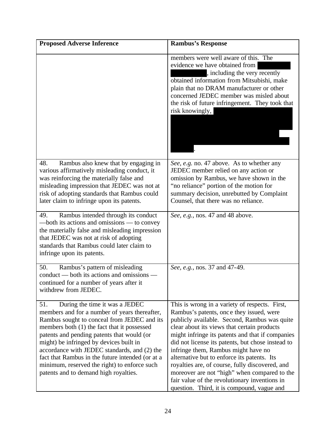| <b>Proposed Adverse Inference</b>                                                                                                                                                                                                                                                                                                                                                                                                                                          | <b>Rambus's Response</b>                                                                                                                                                                                                                                                                                                                                                                                                                                                                                                                                                                   |
|----------------------------------------------------------------------------------------------------------------------------------------------------------------------------------------------------------------------------------------------------------------------------------------------------------------------------------------------------------------------------------------------------------------------------------------------------------------------------|--------------------------------------------------------------------------------------------------------------------------------------------------------------------------------------------------------------------------------------------------------------------------------------------------------------------------------------------------------------------------------------------------------------------------------------------------------------------------------------------------------------------------------------------------------------------------------------------|
|                                                                                                                                                                                                                                                                                                                                                                                                                                                                            | members were well aware of this. The<br>evidence we have obtained from<br>, including the very recently<br>obtained information from Mitsubishi, make<br>plain that no DRAM manufacturer or other<br>concerned JEDEC member was misled about<br>the risk of future infringement. They took that<br>risk knowingly,                                                                                                                                                                                                                                                                         |
| Rambus also knew that by engaging in<br>48.<br>various affirmatively misleading conduct, it<br>was reinforcing the materially false and<br>misleading impression that JEDEC was not at<br>risk of adopting standards that Rambus could<br>later claim to infringe upon its patents.                                                                                                                                                                                        | See, e.g. no. 47 above. As to whether any<br>JEDEC member relied on any action or<br>omission by Rambus, we have shown in the<br>"no reliance" portion of the motion for<br>summary decision, unrebutted by Complaint<br>Counsel, that there was no reliance.                                                                                                                                                                                                                                                                                                                              |
| Rambus intended through its conduct<br>49.<br>- both its actions and omissions - to convey<br>the materially false and misleading impression<br>that JEDEC was not at risk of adopting<br>standards that Rambus could later claim to<br>infringe upon its patents.                                                                                                                                                                                                         | See, e.g., nos. 47 and 48 above.                                                                                                                                                                                                                                                                                                                                                                                                                                                                                                                                                           |
| Rambus's pattern of misleading<br>50.<br>conduct — both its actions and omissions —<br>continued for a number of years after it<br>withdrew from JEDEC.                                                                                                                                                                                                                                                                                                                    | See, e.g., nos. 37 and 47-49.                                                                                                                                                                                                                                                                                                                                                                                                                                                                                                                                                              |
| 51.<br>During the time it was a JEDEC<br>members and for a number of years thereafter,<br>Rambus sought to conceal from JEDEC and its<br>members both (1) the fact that it possessed<br>patents and pending patents that would (or<br>might) be infringed by devices built in<br>accordance with JEDEC standards, and (2) the<br>fact that Rambus in the future intended (or at a<br>minimum, reserved the right) to enforce such<br>patents and to demand high royalties. | This is wrong in a variety of respects. First,<br>Rambus's patents, once they issued, were<br>publicly available. Second, Rambus was quite<br>clear about its views that certain products<br>might infringe its patents and that if companies<br>did not license its patents, but chose instead to<br>infringe them, Rambus might have no<br>alternative but to enforce its patents. Its<br>royalties are, of course, fully discovered, and<br>moreover are not "high" when compared to the<br>fair value of the revolutionary inventions in<br>question. Third, it is compound, vague and |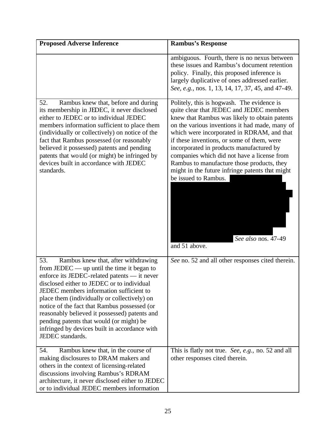| <b>Proposed Adverse Inference</b>                                                                                                                                                                                                                                                                                                                                                                                                                                                                     | <b>Rambus's Response</b>                                                                                                                                                                                                                                                                                                                                                                                                                                                                                                                          |
|-------------------------------------------------------------------------------------------------------------------------------------------------------------------------------------------------------------------------------------------------------------------------------------------------------------------------------------------------------------------------------------------------------------------------------------------------------------------------------------------------------|---------------------------------------------------------------------------------------------------------------------------------------------------------------------------------------------------------------------------------------------------------------------------------------------------------------------------------------------------------------------------------------------------------------------------------------------------------------------------------------------------------------------------------------------------|
|                                                                                                                                                                                                                                                                                                                                                                                                                                                                                                       | ambiguous. Fourth, there is no nexus between<br>these issues and Rambus's document retention<br>policy. Finally, this proposed inference is<br>largely duplicative of ones addressed earlier.<br>See, e.g., nos. 1, 13, 14, 17, 37, 45, and 47-49.                                                                                                                                                                                                                                                                                                |
| 52.<br>Rambus knew that, before and during<br>its membership in JEDEC, it never disclosed<br>either to JEDEC or to individual JEDEC<br>members information sufficient to place them<br>(individually or collectively) on notice of the<br>fact that Rambus possessed (or reasonably<br>believed it possessed) patents and pending<br>patents that would (or might) be infringed by<br>devices built in accordance with JEDEC<br>standards.                                                            | Politely, this is hogwash. The evidence is<br>quite clear that JEDEC and JEDEC members<br>knew that Rambus was likely to obtain patents<br>on the various inventions it had made, many of<br>which were incorporated in RDRAM, and that<br>if these inventions, or some of them, were<br>incorporated in products manufactured by<br>companies which did not have a license from<br>Rambus to manufacture those products, they<br>might in the future infringe patents that might<br>be issued to Rambus.<br>See also nos. 47-49<br>and 51 above. |
| 53.<br>Rambus knew that, after withdrawing<br>from JEDEC $-$ up until the time it began to<br>enforce its JEDEC-related patents — it never<br>disclosed either to JEDEC or to individual<br>JEDEC members information sufficient to<br>place them (individually or collectively) on<br>notice of the fact that Rambus possessed (or<br>reasonably believed it possessed) patents and<br>pending patents that would (or might) be<br>infringed by devices built in accordance with<br>JEDEC standards. | See no. 52 and all other responses cited therein.                                                                                                                                                                                                                                                                                                                                                                                                                                                                                                 |
| Rambus knew that, in the course of<br>54.<br>making disclosures to DRAM makers and<br>others in the context of licensing-related<br>discussions involving Rambus's RDRAM<br>architecture, it never disclosed either to JEDEC<br>or to individual JEDEC members information                                                                                                                                                                                                                            | This is flatly not true. See, e.g., no. 52 and all<br>other responses cited therein.                                                                                                                                                                                                                                                                                                                                                                                                                                                              |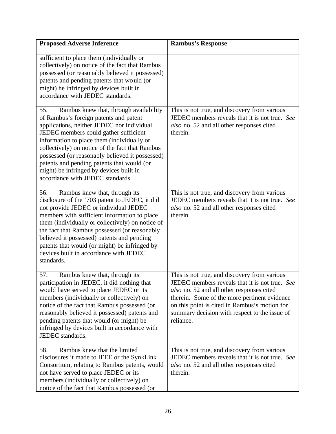| <b>Proposed Adverse Inference</b>                                                                                                                                                                                                                                                                                                                                                                                                                               | <b>Rambus's Response</b>                                                                                                                                                                                                                                                                                   |
|-----------------------------------------------------------------------------------------------------------------------------------------------------------------------------------------------------------------------------------------------------------------------------------------------------------------------------------------------------------------------------------------------------------------------------------------------------------------|------------------------------------------------------------------------------------------------------------------------------------------------------------------------------------------------------------------------------------------------------------------------------------------------------------|
| sufficient to place them (individually or<br>collectively) on notice of the fact that Rambus<br>possessed (or reasonably believed it possessed)<br>patents and pending patents that would (or<br>might) he infringed by devices built in<br>accordance with JEDEC standards.                                                                                                                                                                                    |                                                                                                                                                                                                                                                                                                            |
| Rambus knew that, through availability<br>55.<br>of Rambus's foreign patents and patent<br>applications, neither JEDEC nor individual<br>JEDEC members could gather sufficient<br>information to place them (individually or<br>collectively) on notice of the fact that Rambus<br>possessed (or reasonably believed it possessed)<br>patents and pending patents that would (or<br>might) be infringed by devices built in<br>accordance with JEDEC standards. | This is not true, and discovery from various<br>JEDEC members reveals that it is not true. See<br>also no. 52 and all other responses cited<br>therein.                                                                                                                                                    |
| 56.<br>Rambus knew that, through its<br>disclosure of the '703 patent to JEDEC, it did<br>not provide JEDEC or individual JEDEC<br>members with sufficient information to place<br>them (individually or collectively) on notice of<br>the fact that Rambus possessed (or reasonably<br>believed it possessed) patents and pending<br>patents that would (or might) be infringed by<br>devices built in accordance with JEDEC<br>standards.                     | This is not true, and discovery from various<br>JEDEC members reveals that it is not true. See<br>also no. 52 and all other responses cited<br>therein.                                                                                                                                                    |
| Rambus knew that, through its<br>57.<br>participation in JEDEC, it did nothing that<br>would have served to place JEDEC or its<br>members (individually or collectively) on<br>notice of the fact that Rambus possessed (or<br>reasonably believed it possessed) patents and<br>pending patents that would (or might) be<br>infringed by devices built in accordance with<br>JEDEC standards.                                                                   | This is not true, and discovery from various<br>JEDEC members reveals that it is not true. See<br>also no. 52 and all other responses cited<br>therein. Some of the more pertinent evidence<br>on this point is cited in Rambus's motion for<br>summary decision with respect to the issue of<br>reliance. |
| Rambus knew that the limited<br>58.<br>disclosures it made to IEEE or the SynkLink<br>Consortium, relating to Rambus patents, would<br>not have served to place JEDEC or its<br>members (individually or collectively) on<br>notice of the fact that Rambus possessed (or                                                                                                                                                                                       | This is not true, and discovery from various<br>JEDEC members reveals that it is not true. See<br>also no. 52 and all other responses cited<br>therein.                                                                                                                                                    |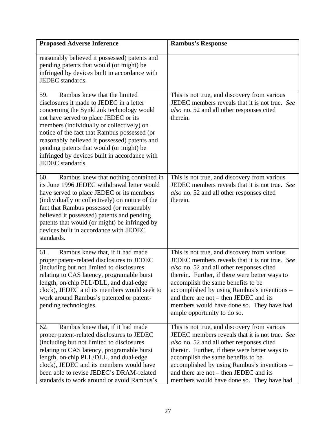| <b>Proposed Adverse Inference</b>                                                                                                                                                                                                                                                                                                                                                                                                   | <b>Rambus's Response</b>                                                                                                                                                                                                                                                                                                                                                                                   |
|-------------------------------------------------------------------------------------------------------------------------------------------------------------------------------------------------------------------------------------------------------------------------------------------------------------------------------------------------------------------------------------------------------------------------------------|------------------------------------------------------------------------------------------------------------------------------------------------------------------------------------------------------------------------------------------------------------------------------------------------------------------------------------------------------------------------------------------------------------|
| reasonably believed it possessed) patents and<br>pending patents that would (or might) be<br>infringed by devices built in accordance with<br>JEDEC standards.                                                                                                                                                                                                                                                                      |                                                                                                                                                                                                                                                                                                                                                                                                            |
| Rambus knew that the limited<br>59.<br>disclosures it made to JEDEC in a letter<br>concerning the SynkLink technology would<br>not have served to place JEDEC or its<br>members (individually or collectively) on<br>notice of the fact that Rambus possessed (or<br>reasonably believed it possessed) patents and<br>pending patents that would (or might) be<br>infringed by devices built in accordance with<br>JEDEC standards. | This is not true, and discovery from various<br>JEDEC members reveals that it is not true. See<br>also no. 52 and all other responses cited<br>therein.                                                                                                                                                                                                                                                    |
| 60.<br>Rambus knew that nothing contained in<br>its June 1996 JEDEC withdrawal letter would<br>have served to place JEDEC or its members<br>(individually or collectively) on notice of the<br>fact that Rambus possessed (or reasonably<br>believed it possessed) patents and pending<br>patents that would (or might) be infringed by<br>devices built in accordance with JEDEC<br>standards.                                     | This is not true, and discovery from various<br>JEDEC members reveals that it is not true. See<br>also no. 52 and all other responses cited<br>therein.                                                                                                                                                                                                                                                    |
| Rambus knew that, if it had made<br>61.<br>proper patent-related disclosures to JEDEC<br>(including but not limited to disclosures<br>relating to CAS latency, programable burst<br>length, on-chip PLL/DLL, and dual-edge<br>clock), JEDEC and its members would seek to<br>work around Rambus's patented or patent-<br>pending technologies.                                                                                      | This is not true, and discovery from various<br>JEDEC members reveals that it is not true. See<br>also no. 52 and all other responses cited<br>therein. Further, if there were better ways to<br>accomplish the same benefits to be<br>accomplished by using Rambus's inventions –<br>and there are not $-$ then JEDEC and its<br>members would have done so. They have had<br>ample opportunity to do so. |
| Rambus knew that, if it had made<br>62.<br>proper patent-related disclosures to JEDEC<br>(including but not limited to disclosures<br>relating to CAS latency, programable burst<br>length, on-chip PLL/DLL, and dual-edge<br>clock), JEDEC and its members would have<br>been able to revise JEDEC's DRAM-related<br>standards to work around or avoid Rambus's                                                                    | This is not true, and discovery from various<br>JEDEC members reveals that it is not true. See<br>also no. 52 and all other responses cited<br>therein. Further, if there were better ways to<br>accomplish the same benefits to be<br>accomplished by using Rambus's inventions -<br>and there are not $-$ then JEDEC and its<br>members would have done so. They have had                                |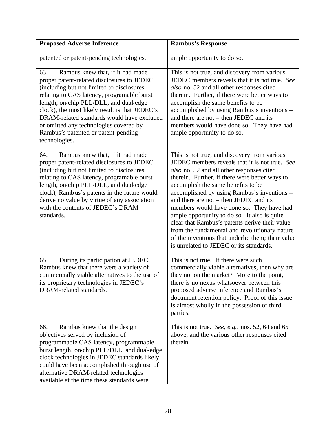| <b>Proposed Adverse Inference</b>                                                                                                                                                                                                                                                                                                                                                                                            | <b>Rambus's Response</b>                                                                                                                                                                                                                                                                                                                                                                                                                                                                                                                                                                                                     |
|------------------------------------------------------------------------------------------------------------------------------------------------------------------------------------------------------------------------------------------------------------------------------------------------------------------------------------------------------------------------------------------------------------------------------|------------------------------------------------------------------------------------------------------------------------------------------------------------------------------------------------------------------------------------------------------------------------------------------------------------------------------------------------------------------------------------------------------------------------------------------------------------------------------------------------------------------------------------------------------------------------------------------------------------------------------|
| patented or patent-pending technologies.                                                                                                                                                                                                                                                                                                                                                                                     | ample opportunity to do so.                                                                                                                                                                                                                                                                                                                                                                                                                                                                                                                                                                                                  |
| Rambus knew that, if it had made<br>63.<br>proper patent-related disclosures to JEDEC<br>(including but not limited to disclosures<br>relating to CAS latency, programable burst<br>length, on-chip PLL/DLL, and dual-edge<br>clock), the most likely result is that JEDEC's<br>DRAM-related standards would have excluded<br>or omitted any technologies covered by<br>Rambus's patented or patent-pending<br>technologies. | This is not true, and discovery from various<br>JEDEC members reveals that it is not true. See<br>also no. 52 and all other responses cited<br>therein. Further, if there were better ways to<br>accomplish the same benefits to be<br>accomplished by using Rambus's inventions –<br>and there are not – then JEDEC and its<br>members would have done so. They have had<br>ample opportunity to do so.                                                                                                                                                                                                                     |
| Rambus knew that, if it had made<br>64.<br>proper patent-related disclosures to JEDEC<br>(including but not limited to disclosures<br>relating to CAS latency, programable burst<br>length, on-chip PLL/DLL, and dual-edge<br>clock), Rambus's patents in the future would<br>derive no value by virtue of any association<br>with the contents of JEDEC's DRAM<br>standards.                                                | This is not true, and discovery from various<br>JEDEC members reveals that it is not true. See<br>also no. 52 and all other responses cited<br>therein. Further, if there were better ways to<br>accomplish the same benefits to be<br>accomplished by using Rambus's inventions -<br>and there are not – then JEDEC and its<br>members would have done so. They have had<br>ample opportunity to do so. It also is quite<br>clear that Rambus's patents derive their value<br>from the fundamental and revolutionary nature<br>of the inventions that underlie them; their value<br>is unrelated to JEDEC or its standards. |
| During its participation at JEDEC,<br>65.<br>Rambus knew that there were a variety of<br>commercially viable alternatives to the use of<br>its proprietary technologies in JEDEC's<br>DRAM-related standards.                                                                                                                                                                                                                | This is not true. If there were such<br>commercially viable alternatives, then why are<br>they not on the market? More to the point,<br>there is no nexus whatsoever between this<br>proposed adverse inference and Rambus's<br>document retention policy. Proof of this issue<br>is almost wholly in the possession of third<br>parties.                                                                                                                                                                                                                                                                                    |
| Rambus knew that the design<br>66.<br>objectives served by inclusion of<br>programmable CAS latency, programmable<br>burst length, on-chip PLL/DLL, and dual-edge<br>clock technologies in JEDEC standards likely<br>could have been accomplished through use of<br>alternative DRAM-related technologies<br>available at the time these standards were                                                                      | This is not true. See, e.g., nos. 52, 64 and 65<br>above, and the various other responses cited<br>therein.                                                                                                                                                                                                                                                                                                                                                                                                                                                                                                                  |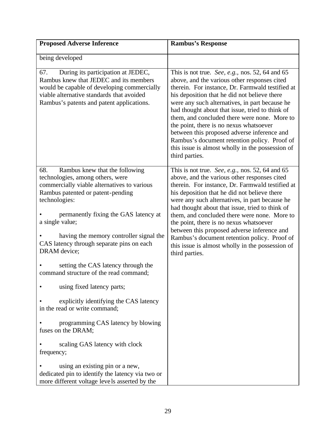| <b>Proposed Adverse Inference</b>                                                                                                                                                                                            | <b>Rambus's Response</b>                                                                                                                                                                                                                                                                                                                                                                                                                                                                                                                                                 |
|------------------------------------------------------------------------------------------------------------------------------------------------------------------------------------------------------------------------------|--------------------------------------------------------------------------------------------------------------------------------------------------------------------------------------------------------------------------------------------------------------------------------------------------------------------------------------------------------------------------------------------------------------------------------------------------------------------------------------------------------------------------------------------------------------------------|
| being developed                                                                                                                                                                                                              |                                                                                                                                                                                                                                                                                                                                                                                                                                                                                                                                                                          |
| During its participation at JEDEC,<br>67.<br>Rambus knew that JEDEC and its members<br>would be capable of developing commercially<br>viable alternative standards that avoided<br>Rambus's patents and patent applications. | This is not true. See, e.g., nos. 52, 64 and 65<br>above, and the various other responses cited<br>therein. For instance, Dr. Farmwald testified at<br>his deposition that he did not believe there<br>were any such alternatives, in part because he<br>had thought about that issue, tried to think of<br>them, and concluded there were none. More to<br>the point, there is no nexus whatsoever<br>between this proposed adverse inference and<br>Rambus's document retention policy. Proof of<br>this issue is almost wholly in the possession of<br>third parties. |
| 68.<br>Rambus knew that the following<br>technologies, among others, were<br>commercially viable alternatives to various<br>Rambus patented or patent-pending<br>technologies:                                               | This is not true. See, e.g., nos. 52, 64 and 65<br>above, and the various other responses cited<br>therein. For instance, Dr. Farmwald testified at<br>his deposition that he did not believe there<br>were any such alternatives, in part because he<br>had thought about that issue, tried to think of                                                                                                                                                                                                                                                                 |
| permanently fixing the GAS latency at<br>a single value;                                                                                                                                                                     | them, and concluded there were none. More to<br>the point, there is no nexus whatsoever                                                                                                                                                                                                                                                                                                                                                                                                                                                                                  |
| having the memory controller signal the<br>CAS latency through separate pins on each<br>DRAM device;                                                                                                                         | between this proposed adverse inference and<br>Rambus's document retention policy. Proof of<br>this issue is almost wholly in the possession of<br>third parties.                                                                                                                                                                                                                                                                                                                                                                                                        |
| setting the CAS latency through the<br>command structure of the read command;                                                                                                                                                |                                                                                                                                                                                                                                                                                                                                                                                                                                                                                                                                                                          |
| using fixed latency parts;                                                                                                                                                                                                   |                                                                                                                                                                                                                                                                                                                                                                                                                                                                                                                                                                          |
| explicitly identifying the CAS latency<br>in the read or write command;                                                                                                                                                      |                                                                                                                                                                                                                                                                                                                                                                                                                                                                                                                                                                          |
| programming CAS latency by blowing<br>fuses on the DRAM;                                                                                                                                                                     |                                                                                                                                                                                                                                                                                                                                                                                                                                                                                                                                                                          |
| scaling GAS latency with clock<br>frequency;                                                                                                                                                                                 |                                                                                                                                                                                                                                                                                                                                                                                                                                                                                                                                                                          |
| using an existing pin or a new,<br>dedicated pin to identify the latency via two or<br>more different voltage levels asserted by the                                                                                         |                                                                                                                                                                                                                                                                                                                                                                                                                                                                                                                                                                          |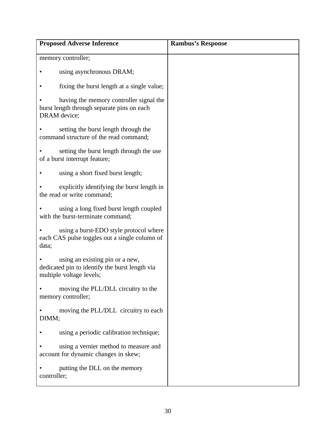| <b>Proposed Adverse Inference</b>                                                                             | <b>Rambus's Response</b> |
|---------------------------------------------------------------------------------------------------------------|--------------------------|
| memory controller;                                                                                            |                          |
| using asynchronous DRAM;                                                                                      |                          |
| fixing the burst length at a single value;                                                                    |                          |
| having the memory controller signal the<br>burst length through separate pins on each<br>DRAM device;         |                          |
| setting the burst length through the<br>command structure of the read command;                                |                          |
| setting the burst length through the use<br>of a burst interrupt feature;                                     |                          |
| using a short fixed burst length;                                                                             |                          |
| explicitly identifying the burst length in<br>the read or write command;                                      |                          |
| using a long fixed burst length coupled<br>with the burst-terminate command;                                  |                          |
| using a burst-EDO style protocol where<br>each CAS pulse toggles out a single column of<br>data;              |                          |
| using an existing pin or a new,<br>dedicated pin to identify the burst length via<br>multiple voltage levels; |                          |
| moving the PLL/DLL circuitry to the<br>memory controller;                                                     |                          |
| moving the PLL/DLL circuitry to each<br>DIMM;                                                                 |                          |
| using a periodic calibration technique;                                                                       |                          |
| using a vernier method to measure and<br>account for dynamic changes in skew;                                 |                          |
| putting the DLL on the memory<br>controller;                                                                  |                          |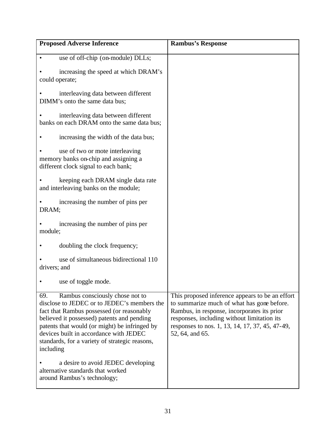| <b>Proposed Adverse Inference</b>                                                                                                                                                                                                                                                                                                          | <b>Rambus's Response</b>                                                                                                                                                                                                                                          |
|--------------------------------------------------------------------------------------------------------------------------------------------------------------------------------------------------------------------------------------------------------------------------------------------------------------------------------------------|-------------------------------------------------------------------------------------------------------------------------------------------------------------------------------------------------------------------------------------------------------------------|
| use of off-chip (on-module) DLLs;<br>$\bullet$                                                                                                                                                                                                                                                                                             |                                                                                                                                                                                                                                                                   |
| increasing the speed at which DRAM's<br>could operate;                                                                                                                                                                                                                                                                                     |                                                                                                                                                                                                                                                                   |
| interleaving data between different<br>DIMM's onto the same data bus;                                                                                                                                                                                                                                                                      |                                                                                                                                                                                                                                                                   |
| interleaving data between different<br>banks on each DRAM onto the same data bus;                                                                                                                                                                                                                                                          |                                                                                                                                                                                                                                                                   |
| increasing the width of the data bus;                                                                                                                                                                                                                                                                                                      |                                                                                                                                                                                                                                                                   |
| use of two or mote interleaving<br>memory banks on-chip and assigning a<br>different clock signal to each bank;                                                                                                                                                                                                                            |                                                                                                                                                                                                                                                                   |
| keeping each DRAM single data rate<br>and interleaving banks on the module;                                                                                                                                                                                                                                                                |                                                                                                                                                                                                                                                                   |
| increasing the number of pins per<br>DRAM:                                                                                                                                                                                                                                                                                                 |                                                                                                                                                                                                                                                                   |
| increasing the number of pins per<br>module;                                                                                                                                                                                                                                                                                               |                                                                                                                                                                                                                                                                   |
| doubling the clock frequency;                                                                                                                                                                                                                                                                                                              |                                                                                                                                                                                                                                                                   |
| use of simultaneous bidirectional 110<br>drivers; and                                                                                                                                                                                                                                                                                      |                                                                                                                                                                                                                                                                   |
| use of toggle mode.                                                                                                                                                                                                                                                                                                                        |                                                                                                                                                                                                                                                                   |
| Rambus consciously chose not to<br>69.<br>disclose to JEDEC or to JEDEC's members the<br>fact that Rambus possessed (or reasonably<br>believed it possessed) patents and pending<br>patents that would (or might) be infringed by<br>devices built in accordance with JEDEC<br>standards, for a variety of strategic reasons,<br>including | This proposed inference appears to be an effort<br>to summarize much of what has gone before.<br>Rambus, in response, incorporates its prior<br>responses, including without limitation its<br>responses to nos. 1, 13, 14, 17, 37, 45, 47-49,<br>52, 64, and 65. |
| a desire to avoid JEDEC developing<br>alternative standards that worked<br>around Rambus's technology;                                                                                                                                                                                                                                     |                                                                                                                                                                                                                                                                   |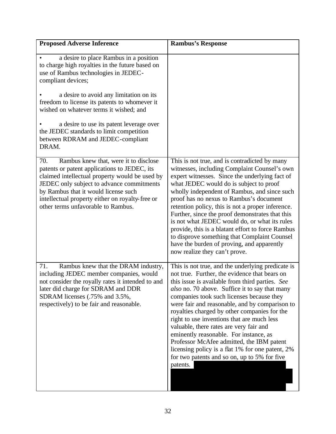| <b>Proposed Adverse Inference</b>                                                                                                                                                                                                                                                                                            | <b>Rambus's Response</b>                                                                                                                                                                                                                                                                                                                                                                                                                                                                                                                                                                                                                               |
|------------------------------------------------------------------------------------------------------------------------------------------------------------------------------------------------------------------------------------------------------------------------------------------------------------------------------|--------------------------------------------------------------------------------------------------------------------------------------------------------------------------------------------------------------------------------------------------------------------------------------------------------------------------------------------------------------------------------------------------------------------------------------------------------------------------------------------------------------------------------------------------------------------------------------------------------------------------------------------------------|
| a desire to place Rambus in a position<br>to charge high royalties in the future based on<br>use of Rambus technologies in JEDEC-<br>compliant devices;                                                                                                                                                                      |                                                                                                                                                                                                                                                                                                                                                                                                                                                                                                                                                                                                                                                        |
| a desire to avoid any limitation on its<br>freedom to license its patents to whomever it<br>wished on whatever terms it wished; and                                                                                                                                                                                          |                                                                                                                                                                                                                                                                                                                                                                                                                                                                                                                                                                                                                                                        |
| a desire to use its patent leverage over<br>the JEDEC standards to limit competition<br>between RDRAM and JEDEC-compliant<br>DRAM.                                                                                                                                                                                           |                                                                                                                                                                                                                                                                                                                                                                                                                                                                                                                                                                                                                                                        |
| 70.<br>Rambus knew that, were it to disclose<br>patents or patent applications to JEDEC, its<br>claimed intellectual property would be used by<br>JEDEC only subject to advance commitments<br>by Rambus that it would license such<br>intellectual property either on royalty-free or<br>other terms unfavorable to Rambus. | This is not true, and is contradicted by many<br>witnesses, including Complaint Counsel's own<br>expert witnesses. Since the underlying fact of<br>what JEDEC would do is subject to proof<br>wholly independent of Rambus, and since such<br>proof has no nexus to Rambus's document<br>retention policy, this is not a proper inference.<br>Further, since the proof demonstrates that this<br>is not what JEDEC would do, or what its rules<br>provide, this is a blatant effort to force Rambus<br>to disprove something that Complaint Counsel<br>have the burden of proving, and apparently<br>now realize they can't prove.                     |
| Rambus knew that the DRAM industry,<br>71.<br>including JEDEC member companies, would<br>not consider the royally rates it intended to and<br>later did charge for SDRAM and DDR<br>SDRAM licenses (.75% and 3.5%,<br>respectively) to be fair and reasonable.                                                               | This is not true, and the underlying predicate is<br>not true. Further, the evidence that bears on<br>this issue is available from third parties. See<br>also no. 70 above. Suffice it to say that many<br>companies took such licenses because they<br>were fair and reasonable, and by comparison to<br>royalties charged by other companies for the<br>right to use inventions that are much less<br>valuable, there rates are very fair and<br>eminently reasonable. For instance, as<br>Professor McAfee admitted, the IBM patent<br>licensing policy is a flat 1% for one patent, 2%<br>for two patents and so on, up to 5% for five<br>patents. |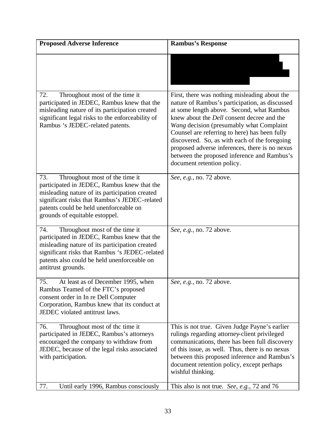| <b>Proposed Adverse Inference</b>                                                                                                                                                                                                                                   | <b>Rambus's Response</b>                                                                                                                                                                                                                                                                                                                                                                                                                                                       |
|---------------------------------------------------------------------------------------------------------------------------------------------------------------------------------------------------------------------------------------------------------------------|--------------------------------------------------------------------------------------------------------------------------------------------------------------------------------------------------------------------------------------------------------------------------------------------------------------------------------------------------------------------------------------------------------------------------------------------------------------------------------|
|                                                                                                                                                                                                                                                                     |                                                                                                                                                                                                                                                                                                                                                                                                                                                                                |
| 72.<br>Throughout most of the time it<br>participated in JEDEC, Rambus knew that the<br>misleading nature of its participation created<br>significant legal risks to the enforceability of<br>Rambus 's JEDEC-related patents.                                      | First, there was nothing misleading about the<br>nature of Rambus's participation, as discussed<br>at some length above. Second, what Rambus<br>knew about the <i>Dell</i> consent decree and the<br>Wang decision (presumably what Complaint<br>Counsel are referring to here) has been fully<br>discovered. So, as with each of the foregoing<br>proposed adverse inferences, there is no nexus<br>between the proposed inference and Rambus's<br>document retention policy. |
| Throughout most of the time it<br>73.<br>participated in JEDEC, Rambus knew that the<br>misleading nature of its participation created<br>significant risks that Rambus's JEDEC-related<br>patents could be held unenforceable on<br>grounds of equitable estoppel. | See, e.g., no. 72 above.                                                                                                                                                                                                                                                                                                                                                                                                                                                       |
| 74.<br>Throughout most of the time it<br>participated in JEDEC, Rambus knew that the<br>misleading nature of its participation created<br>significant risks that Rambus 's JEDEC-related<br>patents also could be held unenforceable on<br>antitrust grounds.       | See, e.g., no. 72 above.                                                                                                                                                                                                                                                                                                                                                                                                                                                       |
| 75.<br>At least as of December 1995, when<br>Rambus Teamed of the FTC's proposed<br>consent order in In re Dell Computer<br>Corporation, Rambus knew that its conduct at<br>JEDEC violated antitrust laws.                                                          | See, e.g., no. 72 above.                                                                                                                                                                                                                                                                                                                                                                                                                                                       |
| 76.<br>Throughout most of the time it<br>participated in JEDEC, Rambus's attorneys<br>encouraged the company to withdraw from<br>JEDEC, because of the legal risks associated<br>with participation.                                                                | This is not true. Given Judge Payne's earlier<br>rulings regarding attorney-client privileged<br>communications, there has been full discovery<br>of this issue, as well. Thus, there is no nexus<br>between this proposed inference and Rambus's<br>document retention policy, except perhaps<br>wishful thinking.                                                                                                                                                            |
| 77.<br>Until early 1996, Rambus consciously                                                                                                                                                                                                                         | This also is not true. See, e.g., 72 and 76                                                                                                                                                                                                                                                                                                                                                                                                                                    |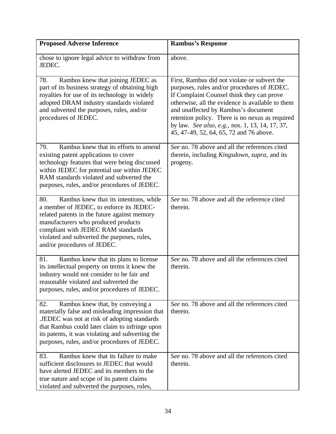| <b>Proposed Adverse Inference</b>                                                                                                                                                                                                                                                                    | <b>Rambus's Response</b>                                                                                                                                                                                                                                                                                                                                                             |
|------------------------------------------------------------------------------------------------------------------------------------------------------------------------------------------------------------------------------------------------------------------------------------------------------|--------------------------------------------------------------------------------------------------------------------------------------------------------------------------------------------------------------------------------------------------------------------------------------------------------------------------------------------------------------------------------------|
| chose to ignore legal advice to withdraw from<br>JEDEC.                                                                                                                                                                                                                                              | above.                                                                                                                                                                                                                                                                                                                                                                               |
| Rambus knew that joining JEDEC as<br>78.<br>part of its business strategy of obtaining high<br>royalties for use of its technology in widely<br>adopted DRAM industry standards violated<br>and subverted the purposes, rules, and/or<br>procedures of JEDEC.                                        | First, Rambus did not violate or subvert the<br>purposes, rules and/or procedures of JEDEC.<br>If Complaint Counsel think they can prove<br>otherwise, all the evidence is available to them<br>and unaffected by Rambus's document<br>retention policy. There is no nexus as required<br>by law. See also, e.g., nos. 1, 13, 14, 17, 37,<br>45, 47-49, 52, 64, 65, 72 and 76 above. |
| Rambus knew that its efforts to amend<br>79.<br>existing patent applications to cover<br>technology features that were being discussed<br>within JEDEC for potential use within JEDEC<br>RAM standards violated and subverted the<br>purposes, rules, and/or procedures of JEDEC.                    | See no. 78 above and all the references cited<br>therein, including Kingsdown, supra, and its<br>progeny.                                                                                                                                                                                                                                                                            |
| 80.<br>Rambus knew that its intentions, while<br>a member of JEDEC, to enforce its JEDEC-<br>related patents in the future against memory<br>manufacturers who produced products<br>compliant with JEDEC RAM standards<br>violated and subverted the purposes, rules,<br>and/or procedures of JEDEC. | See no. 78 above and all the reference cited<br>therein.                                                                                                                                                                                                                                                                                                                             |
| Rambus knew that its plans to license<br>81.<br>its intellectual property on terms it knew the<br>industry would not consider to be fair and<br>reasonable violated and subverted the<br>purposes, rules, and/or procedures of JEDEC.                                                                | See no. 78 above and all the references cited<br>therein.                                                                                                                                                                                                                                                                                                                            |
| Rambus knew that, by conveying a<br>82.<br>materially false and misleading impression that<br>.JEDEC was not at risk of adopting standards<br>that Rambus could later claim to infringe upon<br>its patents, it was violating and subverting the<br>purposes, rules, and/or procedures of JEDEC.     | See no. 78 above and all the references cited<br>therein.                                                                                                                                                                                                                                                                                                                            |
| Rambus knew that its failure to make<br>83.<br>sufficient disclosures to JEDEC that would<br>have alerted JEDEC and its members to the<br>true nature and scope of its patent claims<br>violated and subverted the purposes, rules,                                                                  | See no. 78 above and all the references cited<br>therein.                                                                                                                                                                                                                                                                                                                            |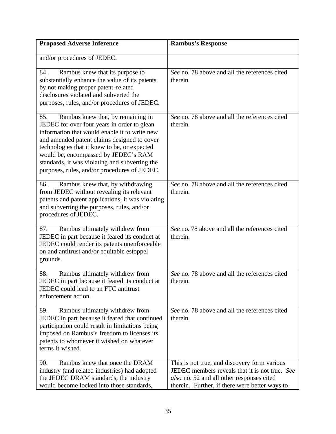| <b>Proposed Adverse Inference</b>                                                                                                                                                                                                                                                                                                                                                 | <b>Rambus's Response</b>                                                                                                                                                                      |
|-----------------------------------------------------------------------------------------------------------------------------------------------------------------------------------------------------------------------------------------------------------------------------------------------------------------------------------------------------------------------------------|-----------------------------------------------------------------------------------------------------------------------------------------------------------------------------------------------|
| and/or procedures of JEDEC.                                                                                                                                                                                                                                                                                                                                                       |                                                                                                                                                                                               |
| 84.<br>Rambus knew that its purpose to<br>substantially enhance the value of its patents<br>by not making proper patent-related<br>disclosures violated and subverted the<br>purposes, rules, and/or procedures of JEDEC.                                                                                                                                                         | See no. 78 above and all the references cited<br>therein.                                                                                                                                     |
| Rambus knew that, by remaining in<br>85.<br>JEDEC for over four years in order to glean<br>information that would enable it to write new<br>and amended patent claims designed to cover<br>technologies that it knew to be, or expected<br>would be, encompassed by JEDEC's RAM<br>standards, it was violating and subverting the<br>purposes, rules, and/or procedures of JEDEC. | See no. 78 above and all the references cited<br>therein.                                                                                                                                     |
| Rambus knew that, by withdrawing<br>86.<br>from JEDEC without revealing its relevant<br>patents and patent applications, it was violating<br>and subverting the purposes, rules, and/or<br>procedures of JEDEC.                                                                                                                                                                   | See no. 78 above and all the references cited<br>therein.                                                                                                                                     |
| Rambus ultimately withdrew from<br>87.<br>JEDEC in part because it feared its conduct at<br>JEDEC could render its patents unenforceable<br>on and antitrust and/or equitable estoppel<br>grounds.                                                                                                                                                                                | See no. 78 above and all the references cited<br>therein.                                                                                                                                     |
| Rambus ultimately withdrew from<br>88.<br>JEDEC in part because it feared its conduct at<br>JEDEC could lead to an FTC antitrust<br>enforcement action.                                                                                                                                                                                                                           | See no. 78 above and all the references cited<br>therein.                                                                                                                                     |
| Rambus ultimately withdrew from<br>89.<br>JEDEC in part because it feared that continued<br>participation could result in limitations being<br>imposed on Rambus's freedom to licenses its<br>patents to whomever it wished on whatever<br>terms it wished.                                                                                                                       | See no. 78 above and all the references cited<br>therein.                                                                                                                                     |
| Rambus knew that once the DRAM<br>90.<br>industry (and related industries) had adopted<br>the JEDEC DRAM standards, the industry<br>would become locked into those standards,                                                                                                                                                                                                     | This is not true, and discovery form various<br>JEDEC members reveals that it is not true. See<br>also no. 52 and all other responses cited<br>therein. Further, if there were better ways to |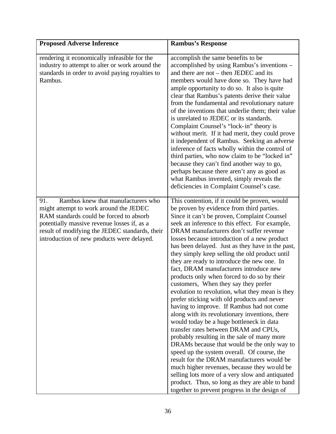| <b>Proposed Adverse Inference</b>                                                                                                                                                                                                                                             | <b>Rambus's Response</b>                                                                                                                                                                                                                                                                                                                                                                                                                                                                                                                                                                                                                                                                                                                                                                                                                                                                                                                                                                                                                                                                                                                                                                                                                                            |
|-------------------------------------------------------------------------------------------------------------------------------------------------------------------------------------------------------------------------------------------------------------------------------|---------------------------------------------------------------------------------------------------------------------------------------------------------------------------------------------------------------------------------------------------------------------------------------------------------------------------------------------------------------------------------------------------------------------------------------------------------------------------------------------------------------------------------------------------------------------------------------------------------------------------------------------------------------------------------------------------------------------------------------------------------------------------------------------------------------------------------------------------------------------------------------------------------------------------------------------------------------------------------------------------------------------------------------------------------------------------------------------------------------------------------------------------------------------------------------------------------------------------------------------------------------------|
| rendering it economically infeasible for the<br>industry to attempt to alter or work around the<br>standards in order to avoid paying royalties to<br>Rambus.                                                                                                                 | accomplish the same benefits to be<br>accomplished by using Rambus's inventions –<br>and there are not – then JEDEC and its<br>members would have done so. They have had<br>ample opportunity to do so. It also is quite<br>clear that Rambus's patents derive their value<br>from the fundamental and revolutionary nature<br>of the inventions that underlie them; their value<br>is unrelated to JEDEC or its standards.<br>Complaint Counsel's "lock-in" theory is<br>without merit. If it had merit, they could prove<br>it independent of Rambus. Seeking an adverse<br>inference of facts wholly within the control of<br>third parties, who now claim to be "locked in"<br>because they can't find another way to go,<br>perhaps because there aren't any as good as<br>what Rambus invented, simply reveals the<br>deficiencies in Complaint Counsel's case.                                                                                                                                                                                                                                                                                                                                                                                               |
| Rambus knew that manufacturers who<br>91.<br>might attempt to work around the JEDEC<br>RAM standards could be forced to absorb<br>potentially massive revenue losses if, as a<br>result of modifying the JEDEC standards, their<br>introduction of new products were delayed. | This contention, if it could be proven, would<br>be proven by evidence from third parties.<br>Since it can't be proven, Complaint Counsel<br>seek an inference to this effect. For example,<br>DRAM manufacturers don't suffer revenue<br>losses because introduction of a new product<br>has been delayed. Just as they have in the past,<br>they simply keep selling the old product until<br>they are ready to introduce the new one. In<br>fact, DRAM manufacturers introduce new<br>products only when forced to do so by their<br>customers, When they say they prefer<br>evolution to revolution, what they mean is they<br>prefer sticking with old products and never<br>having to improve. If Rambus had not come<br>along with its revolutionary inventions, there<br>would today be a huge bottleneck in data<br>transfer rates between DRAM and CPUs,<br>probably resulting in the sale of many more<br>DRAMs because that would be the only way to<br>speed up the system overall. Of course, the<br>result for the DRAM manufacturers would be<br>much higher revenues, because they would be<br>selling lots more of a very slow and antiquated<br>product. Thus, so long as they are able to band<br>together to prevent progress in the design of |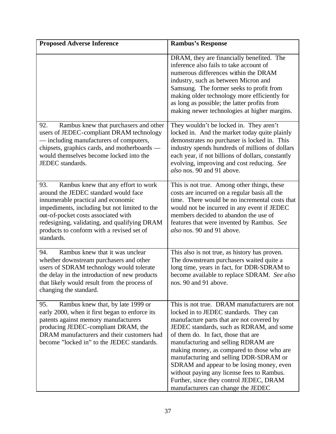| <b>Proposed Adverse Inference</b>                                                                                                                                                                                                                                                                                           | <b>Rambus's Response</b>                                                                                                                                                                                                                                                                                                                                                                                                                                                                                                          |
|-----------------------------------------------------------------------------------------------------------------------------------------------------------------------------------------------------------------------------------------------------------------------------------------------------------------------------|-----------------------------------------------------------------------------------------------------------------------------------------------------------------------------------------------------------------------------------------------------------------------------------------------------------------------------------------------------------------------------------------------------------------------------------------------------------------------------------------------------------------------------------|
|                                                                                                                                                                                                                                                                                                                             | DRAM, they are financially benefited. The<br>inference also fails to take account of<br>numerous differences within the DRAM<br>industry, such as between Micron and<br>Samsung. The former seeks to profit from<br>making older technology more efficiently for<br>as long as possible; the latter profits from<br>making newer technologies at higher margins.                                                                                                                                                                  |
| 92.<br>Rambus knew that purchasers and other<br>users of JEDEC-compliant DRAM technology<br>- including manufacturers of computers,<br>chipsets, graphics cards, and motherboards -<br>would themselves become locked into the<br>JEDEC standards.                                                                          | They wouldn't be locked in. They aren't<br>locked in. And the market today quite plainly<br>demonstrates no purchaser is locked in. This<br>industry spends hundreds of millions of dollars<br>each year, if not billions of dollars, constantly<br>evolving, improving and cost reducing. See<br>also nos. 90 and 91 above.                                                                                                                                                                                                      |
| 93.<br>Rambus knew that any effort to work<br>around the JEDEC standard would face<br>innumerable practical and economic<br>impediments, including but not limited to the<br>out-of-pocket costs associated with<br>redesigning, validating, and qualifying DRAM<br>products to conform with a revised set of<br>standards. | This is not true. Among other things, these<br>costs are incurred on a regular basis all the<br>time. There would be no incremental costs that<br>would not be incurred in any event if JEDEC<br>members decided to abandon the use of<br>features that were invented by Rambus. See<br>also nos. 90 and 91 above.                                                                                                                                                                                                                |
| Rambus knew that it was unclear<br>94.<br>whether downstream purchasers and other<br>users of SDRAM technology would tolerate<br>the delay in the introduction of new products<br>that likely would result from the process of<br>changing the standard.                                                                    | This also is not true, as history has proven.<br>The downstream purchasers waited quite a<br>long time, years in fact, for DDR-SDRAM to<br>become available to replace SDRAM. See also<br>nos. 90 and 91 above                                                                                                                                                                                                                                                                                                                    |
| Rambus knew that, by late 1999 or<br>95.<br>early 2000, when it first began to enforce its<br>patents against memory manufacturers<br>producing JEDEC-compliant DRAM, the<br>DRAM manufacturers and their customers had<br>become "locked in" to the JEDEC standards.                                                       | This is not true. DRAM manufacturers are not<br>locked in to JEDEC standards. They can<br>manufacture parts that are not covered by<br>JEDEC standards, such as RDRAM, and some<br>of them do. In fact, those that are<br>manufacturing and selling RDRAM are<br>making money, as compared to those who are<br>manufacturing and selling DDR-SDRAM or<br>SDRAM and appear to be losing money, even<br>without paying any license fees to Rambus.<br>Further, since they control JEDEC, DRAM<br>manufacturers can change the JEDEC |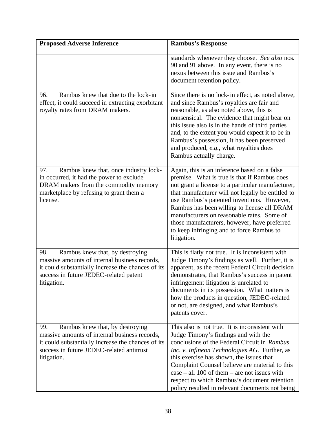| <b>Proposed Adverse Inference</b>                                                                                                                                                                         | <b>Rambus's Response</b>                                                                                                                                                                                                                                                                                                                                                                                                                                      |
|-----------------------------------------------------------------------------------------------------------------------------------------------------------------------------------------------------------|---------------------------------------------------------------------------------------------------------------------------------------------------------------------------------------------------------------------------------------------------------------------------------------------------------------------------------------------------------------------------------------------------------------------------------------------------------------|
|                                                                                                                                                                                                           | standards whenever they choose. See also nos.<br>90 and 91 above. In any event, there is no<br>nexus between this issue and Rambus's<br>document retention policy.                                                                                                                                                                                                                                                                                            |
| Rambus knew that due to the lock-in<br>96.<br>effect, it could succeed in extracting exorbitant<br>royalty rates from DRAM makers.                                                                        | Since there is no lock-in effect, as noted above,<br>and since Rambus's royalties are fair and<br>reasonable, as also noted above, this is<br>nonsensical. The evidence that might bear on<br>this issue also is in the hands of third parties<br>and, to the extent you would expect it to be in<br>Rambus's possession, it has been preserved<br>and produced, e.g., what royalties does<br>Rambus actually charge.                                         |
| 97.<br>Rambus knew that, once industry lock-<br>in occurred, it had the power to exclude<br>DRAM makers from the commodity memory<br>marketplace by refusing to grant them a<br>license.                  | Again, this is an inference based on a false<br>premise. What is true is that if Rambus does<br>not grant a license to a particular manufacturer,<br>that manufacturer will not legally be entitled to<br>use Rambus's patented inventions. However,<br>Rambus has been willing to license all DRAM<br>manufacturers on reasonable rates. Some of<br>those manufacturers, however, have preferred<br>to keep infringing and to force Rambus to<br>litigation. |
| 98.<br>Rambus knew that, by destroying<br>massive amounts of internal business records,<br>it could substantially increase the chances of its<br>success in future JEDEC-related patent<br>litigation.    | This is flatly not true. It is inconsistent with<br>Judge Timony's findings as well. Further, it is<br>apparent, as the recent Federal Circuit decision<br>demonstrates, that Rambus's success in patent<br>infringement litigation is unrelated to<br>documents in its possession. What matters is<br>how the products in question, JEDEC-related<br>or not, are designed, and what Rambus's<br>patents cover.                                               |
| Rambus knew that, by destroying<br>99.<br>massive amounts of internal business records,<br>it could substantially increase the chances of its<br>success in future JEDEC-related antitrust<br>litigation. | This also is not true. It is inconsistent with<br>Judge Timony's findings and with the<br>conclusions of the Federal Circuit in Rambus<br>Inc. v. Infineon Technologies AG. Further, as<br>this exercise has shown, the issues that<br>Complaint Counsel believe are material to this<br>$case - all 100 of them - are not issues with$<br>respect to which Rambus's document retention<br>policy resulted in relevant documents not being                    |